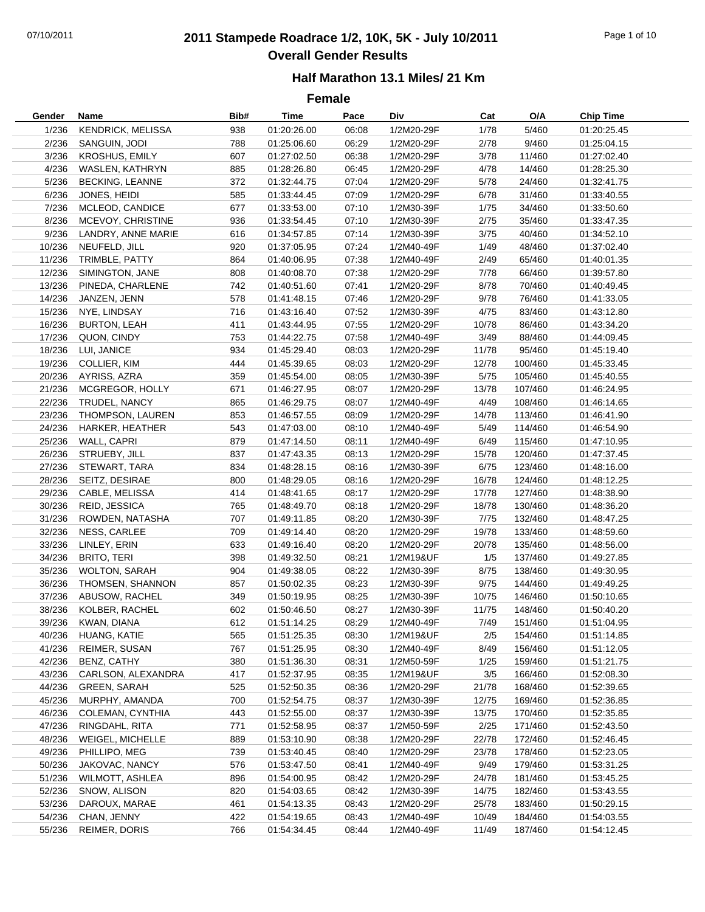# 07/10/2011 **2011 Stampede Roadrace 1/2, 10K, 5K - July 10/2011** Page 1 of 10 **Overall Gender Results**

### **Half Marathon 13.1 Miles/ 21 Km**

| Gender           | Name                                  | Bib#       | <b>Time</b>                | Pace           | Div                      | Cat            | O/A                | <b>Chip Time</b>           |
|------------------|---------------------------------------|------------|----------------------------|----------------|--------------------------|----------------|--------------------|----------------------------|
| 1/236            | <b>KENDRICK, MELISSA</b>              | 938        | 01:20:26.00                | 06:08          | 1/2M20-29F               | 1/78           | 5/460              | 01:20:25.45                |
| 2/236            | SANGUIN, JODI                         | 788        | 01:25:06.60                | 06:29          | 1/2M20-29F               | 2/78           | 9/460              | 01:25:04.15                |
| 3/236            | <b>KROSHUS, EMILY</b>                 | 607        | 01:27:02.50                | 06:38          | 1/2M20-29F               | 3/78           | 11/460             | 01:27:02.40                |
| 4/236            | WASLEN, KATHRYN                       | 885        | 01:28:26.80                | 06:45          | 1/2M20-29F               | 4/78           | 14/460             | 01:28:25.30                |
| 5/236            | <b>BECKING, LEANNE</b>                | 372        | 01:32:44.75                | 07:04          | 1/2M20-29F               | 5/78           | 24/460             | 01:32:41.75                |
| 6/236            | JONES, HEIDI                          | 585        | 01:33:44.45                | 07:09          | 1/2M20-29F               | 6/78           | 31/460             | 01:33:40.55                |
| 7/236            | MCLEOD, CANDICE                       | 677        | 01:33:53.00                | 07:10          | 1/2M30-39F               | 1/75           | 34/460             | 01:33:50.60                |
| 8/236            | MCEVOY, CHRISTINE                     | 936        | 01:33:54.45                | 07:10          | 1/2M30-39F               | 2/75           | 35/460             | 01:33:47.35                |
| 9/236            | LANDRY, ANNE MARIE                    | 616        | 01:34:57.85                | 07:14          | 1/2M30-39F               | 3/75           | 40/460             | 01:34:52.10                |
| 10/236           | NEUFELD, JILL                         | 920        | 01:37:05.95                | 07:24          | 1/2M40-49F               | 1/49           | 48/460             | 01:37:02.40                |
| 11/236           | TRIMBLE, PATTY                        | 864        | 01:40:06.95                | 07:38          | 1/2M40-49F               | 2/49           | 65/460             | 01:40:01.35                |
| 12/236           | SIMINGTON, JANE                       | 808        | 01:40:08.70                | 07:38          | 1/2M20-29F               | 7/78           | 66/460             | 01:39:57.80                |
| 13/236           | PINEDA, CHARLENE                      | 742        | 01:40:51.60                | 07:41          | 1/2M20-29F               | 8/78           | 70/460             | 01:40:49.45                |
| 14/236           | JANZEN, JENN                          | 578        | 01:41:48.15                | 07:46          | 1/2M20-29F               | 9/78           | 76/460             | 01:41:33.05                |
| 15/236           | NYE, LINDSAY                          | 716        | 01:43:16.40                | 07:52          | 1/2M30-39F               | 4/75           | 83/460             | 01:43:12.80                |
| 16/236           | <b>BURTON, LEAH</b>                   | 411        | 01:43:44.95                | 07:55          | 1/2M20-29F               | 10/78          | 86/460             | 01:43:34.20                |
| 17/236           | QUON, CINDY                           | 753        | 01:44:22.75                | 07:58          | 1/2M40-49F               | 3/49           | 88/460             | 01:44:09.45                |
| 18/236           | LUI, JANICE                           | 934        | 01:45:29.40                | 08:03          | 1/2M20-29F               | 11/78          | 95/460             | 01:45:19.40                |
| 19/236           | COLLIER, KIM                          | 444        | 01:45:39.65                | 08:03          | 1/2M20-29F               | 12/78          | 100/460            | 01:45:33.45                |
| 20/236           | AYRISS, AZRA                          | 359        | 01:45:54.00                | 08:05          | 1/2M30-39F               | 5/75           | 105/460            | 01:45:40.55                |
| 21/236           | MCGREGOR, HOLLY                       | 671        | 01:46:27.95                | 08:07          | 1/2M20-29F               | 13/78          | 107/460            | 01:46:24.95                |
| 22/236           | TRUDEL, NANCY                         | 865        | 01:46:29.75                | 08:07          | 1/2M40-49F               | 4/49           | 108/460            | 01:46:14.65                |
| 23/236           | THOMPSON, LAUREN                      | 853        | 01:46:57.55                | 08:09          | 1/2M20-29F               | 14/78          | 113/460            | 01:46:41.90                |
| 24/236           | HARKER, HEATHER                       | 543        | 01:47:03.00                | 08:10          | 1/2M40-49F               | 5/49           | 114/460            | 01:46:54.90                |
| 25/236           | WALL, CAPRI                           | 879        | 01:47:14.50                | 08:11          | 1/2M40-49F               | 6/49           | 115/460            | 01:47:10.95                |
| 26/236           | STRUEBY, JILL                         | 837        | 01:47:43.35                | 08:13          | 1/2M20-29F               | 15/78          | 120/460            | 01:47:37.45                |
| 27/236           | STEWART, TARA                         | 834        | 01:48:28.15                | 08:16          | 1/2M30-39F               | 6/75           | 123/460            | 01:48:16.00                |
| 28/236           | SEITZ, DESIRAE                        | 800        | 01:48:29.05                | 08:16          | 1/2M20-29F               | 16/78          | 124/460            | 01:48:12.25                |
| 29/236           | CABLE, MELISSA                        | 414        | 01:48:41.65                | 08:17          | 1/2M20-29F               | 17/78          | 127/460            | 01:48:38.90                |
| 30/236           | REID, JESSICA                         | 765        | 01:48:49.70                | 08:18          | 1/2M20-29F               | 18/78          | 130/460            | 01:48:36.20                |
| 31/236           | ROWDEN, NATASHA                       | 707        | 01:49:11.85                | 08:20          | 1/2M30-39F               | 7/75           | 132/460            | 01:48:47.25                |
| 32/236           | NESS, CARLEE                          | 709        | 01:49:14.40                | 08:20          | 1/2M20-29F               | 19/78          | 133/460            | 01:48:59.60                |
| 33/236           | LINLEY, ERIN                          | 633        | 01:49:16.40                | 08:20          | 1/2M20-29F               | 20/78          | 135/460            | 01:48:56.00                |
| 34/236           | <b>BRITO, TERI</b>                    | 398        | 01:49:32.50                | 08:21          | 1/2M19&UF                | 1/5            | 137/460            | 01:49:27.85                |
| 35/236           | <b>WOLTON, SARAH</b>                  | 904        | 01:49:38.05                | 08:22          | 1/2M30-39F               | 8/75           | 138/460            | 01:49:30.95                |
| 36/236           | THOMSEN, SHANNON                      | 857        | 01:50:02.35                | 08:23          | 1/2M30-39F               | 9/75           | 144/460            | 01:49:49.25                |
| 37/236           | ABUSOW, RACHEL                        | 349        | 01:50:19.95                | 08:25          | 1/2M30-39F               | 10/75          | 146/460            | 01:50:10.65                |
| 38/236           | KOLBER, RACHEL                        | 602        | 01:50:46.50                | 08:27          | 1/2M30-39F               | 11/75          | 148/460            | 01:50:40.20                |
| 39/236           | KWAN, DIANA                           | 612        | 01:51:14.25                | 08:29          | 1/2M40-49F               | 7/49           | 151/460            | 01:51:04.95                |
| 40/236           | HUANG, KATIE                          | 565        | 01:51:25.35                | 08:30          | 1/2M19&UF                | 2/5            | 154/460            | 01:51:14.85                |
| 41/236           | REIMER, SUSAN                         | 767        | 01:51:25.95                | 08:30          | 1/2M40-49F               | 8/49           | 156/460            | 01:51:12.05                |
|                  | BENZ, CATHY                           | 380        |                            |                |                          |                |                    |                            |
| 42/236<br>43/236 |                                       | 417        | 01:51:36.30                | 08:31          | 1/2M50-59F<br>1/2M19&UF  | 1/25           | 159/460            | 01:51:21.75                |
| 44/236           | CARLSON, ALEXANDRA                    |            | 01:52:37.95                | 08:35          |                          | 3/5            | 166/460            | 01:52:08.30<br>01:52:39.65 |
| 45/236           | <b>GREEN, SARAH</b><br>MURPHY, AMANDA | 525<br>700 | 01:52:50.35                | 08:36<br>08:37 | 1/2M20-29F<br>1/2M30-39F | 21/78<br>12/75 | 168/460<br>169/460 |                            |
|                  | COLEMAN, CYNTHIA                      |            | 01:52:54.75                |                | 1/2M30-39F               |                |                    | 01:52:36.85<br>01:52:35.85 |
| 46/236           |                                       | 443        | 01:52:55.00                | 08:37          |                          | 13/75          | 170/460            |                            |
| 47/236<br>48/236 | RINGDAHL, RITA<br>WEIGEL, MICHELLE    | 771<br>889 | 01:52:58.95<br>01:53:10.90 | 08:37          | 1/2M50-59F               | 2/25<br>22/78  | 171/460            | 01:52:43.50                |
|                  |                                       |            |                            | 08:38          | 1/2M20-29F               |                | 172/460            | 01:52:46.45                |
| 49/236           | PHILLIPO, MEG                         | 739        | 01:53:40.45                | 08:40          | 1/2M20-29F               | 23/78          | 178/460            | 01:52:23.05                |
| 50/236           | JAKOVAC, NANCY                        | 576        | 01:53:47.50                | 08:41          | 1/2M40-49F               | 9/49           | 179/460            | 01:53:31.25                |
| 51/236           | WILMOTT, ASHLEA                       | 896        | 01:54:00.95                | 08:42          | 1/2M20-29F               | 24/78          | 181/460            | 01:53:45.25                |
| 52/236           | SNOW, ALISON                          | 820        | 01:54:03.65                | 08:42          | 1/2M30-39F               | 14/75          | 182/460            | 01:53:43.55                |
| 53/236           | DAROUX, MARAE                         | 461        | 01:54:13.35                | 08:43          | 1/2M20-29F               | 25/78          | 183/460            | 01:50:29.15                |
| 54/236           | CHAN, JENNY                           | 422        | 01:54:19.65                | 08:43          | 1/2M40-49F               | 10/49          | 184/460            | 01:54:03.55                |
| 55/236           | REIMER, DORIS                         | 766        | 01:54:34.45                | 08:44          | 1/2M40-49F               | 11/49          | 187/460            | 01:54:12.45                |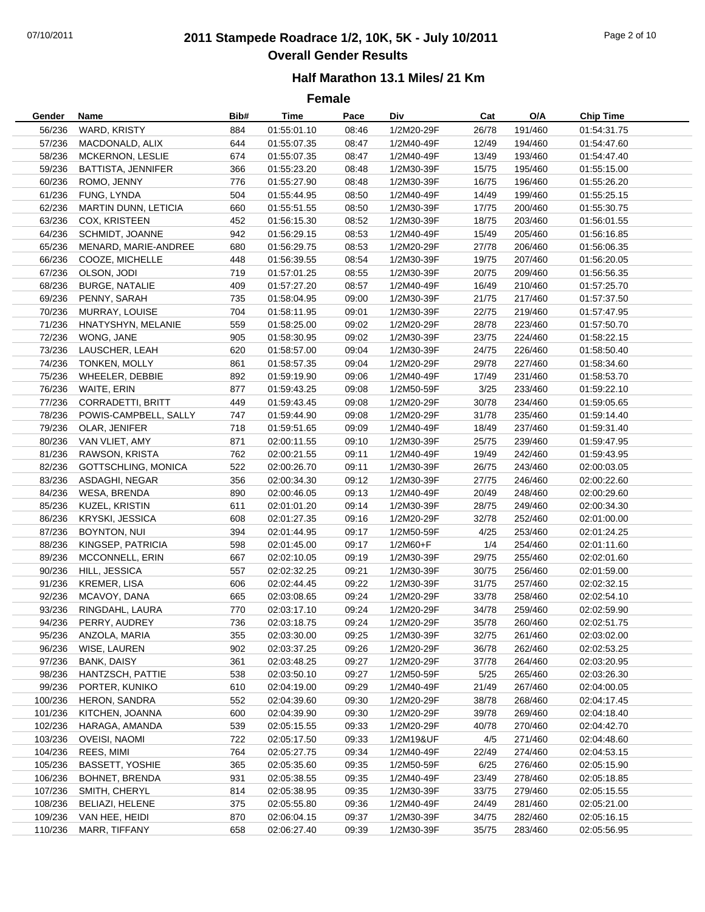# 07/10/2011 **2011 Stampede Roadrace 1/2, 10K, 5K - July 10/2011** Page 2 of 10 **Overall Gender Results**

### **Half Marathon 13.1 Miles/ 21 Km**

| Gender  | Name                        | Bib# | Time        | Pace  | Div        | Cat   | O/A     | <b>Chip Time</b> |
|---------|-----------------------------|------|-------------|-------|------------|-------|---------|------------------|
| 56/236  | WARD, KRISTY                | 884  | 01:55:01.10 | 08:46 | 1/2M20-29F | 26/78 | 191/460 | 01:54:31.75      |
| 57/236  | MACDONALD, ALIX             | 644  | 01:55:07.35 | 08:47 | 1/2M40-49F | 12/49 | 194/460 | 01:54:47.60      |
| 58/236  | MCKERNON, LESLIE            | 674  | 01:55:07.35 | 08:47 | 1/2M40-49F | 13/49 | 193/460 | 01:54:47.40      |
| 59/236  | <b>BATTISTA, JENNIFER</b>   | 366  | 01:55:23.20 | 08:48 | 1/2M30-39F | 15/75 | 195/460 | 01:55:15.00      |
| 60/236  | ROMO, JENNY                 | 776  | 01:55:27.90 | 08:48 | 1/2M30-39F | 16/75 | 196/460 | 01:55:26.20      |
| 61/236  | FUNG, LYNDA                 | 504  | 01:55:44.95 | 08:50 | 1/2M40-49F | 14/49 | 199/460 | 01:55:25.15      |
| 62/236  | <b>MARTIN DUNN, LETICIA</b> | 660  | 01:55:51.55 | 08:50 | 1/2M30-39F | 17/75 | 200/460 | 01:55:30.75      |
| 63/236  | COX, KRISTEEN               | 452  | 01:56:15.30 | 08:52 | 1/2M30-39F | 18/75 | 203/460 | 01:56:01.55      |
| 64/236  | SCHMIDT, JOANNE             | 942  | 01:56:29.15 | 08:53 | 1/2M40-49F | 15/49 | 205/460 | 01:56:16.85      |
| 65/236  | MENARD, MARIE-ANDREE        | 680  | 01:56:29.75 | 08:53 | 1/2M20-29F | 27/78 | 206/460 | 01:56:06.35      |
| 66/236  | COOZE, MICHELLE             | 448  | 01:56:39.55 | 08:54 | 1/2M30-39F | 19/75 | 207/460 | 01:56:20.05      |
| 67/236  | OLSON, JODI                 | 719  | 01:57:01.25 | 08:55 | 1/2M30-39F | 20/75 | 209/460 | 01:56:56.35      |
| 68/236  | BURGE, NATALIE              | 409  | 01:57:27.20 | 08:57 | 1/2M40-49F | 16/49 | 210/460 | 01:57:25.70      |
| 69/236  | PENNY, SARAH                | 735  | 01:58:04.95 | 09:00 | 1/2M30-39F | 21/75 | 217/460 | 01:57:37.50      |
| 70/236  | MURRAY, LOUISE              | 704  | 01:58:11.95 | 09:01 | 1/2M30-39F | 22/75 | 219/460 | 01:57:47.95      |
| 71/236  | HNATYSHYN, MELANIE          | 559  | 01:58:25.00 | 09:02 | 1/2M20-29F | 28/78 | 223/460 | 01:57:50.70      |
| 72/236  | WONG, JANE                  | 905  | 01:58:30.95 | 09:02 | 1/2M30-39F | 23/75 | 224/460 | 01:58:22.15      |
| 73/236  | LAUSCHER, LEAH              | 620  | 01:58:57.00 | 09:04 | 1/2M30-39F | 24/75 | 226/460 | 01:58:50.40      |
| 74/236  | <b>TONKEN, MOLLY</b>        | 861  | 01:58:57.35 | 09:04 | 1/2M20-29F | 29/78 | 227/460 | 01:58:34.60      |
| 75/236  | WHEELER, DEBBIE             | 892  | 01:59:19.90 | 09:06 | 1/2M40-49F | 17/49 | 231/460 | 01:58:53.70      |
| 76/236  | WAITE, ERIN                 | 877  | 01:59:43.25 | 09:08 | 1/2M50-59F | 3/25  | 233/460 | 01:59:22.10      |
| 77/236  | <b>CORRADETTI, BRITT</b>    | 449  | 01:59:43.45 | 09:08 | 1/2M20-29F | 30/78 | 234/460 | 01:59:05.65      |
| 78/236  | POWIS-CAMPBELL, SALLY       | 747  | 01:59:44.90 | 09:08 | 1/2M20-29F | 31/78 | 235/460 | 01:59:14.40      |
| 79/236  | OLAR, JENIFER               | 718  | 01:59:51.65 | 09:09 | 1/2M40-49F | 18/49 | 237/460 | 01:59:31.40      |
| 80/236  | VAN VLIET, AMY              | 871  | 02:00:11.55 | 09:10 | 1/2M30-39F | 25/75 | 239/460 | 01:59:47.95      |
| 81/236  | RAWSON, KRISTA              | 762  | 02:00:21.55 | 09:11 | 1/2M40-49F | 19/49 | 242/460 | 01:59:43.95      |
| 82/236  | <b>GOTTSCHLING, MONICA</b>  | 522  | 02:00:26.70 | 09:11 | 1/2M30-39F | 26/75 | 243/460 | 02:00:03.05      |
| 83/236  | ASDAGHI, NEGAR              | 356  | 02:00:34.30 | 09:12 | 1/2M30-39F | 27/75 | 246/460 | 02:00:22.60      |
| 84/236  | WESA, BRENDA                | 890  | 02:00:46.05 | 09:13 | 1/2M40-49F | 20/49 | 248/460 | 02:00:29.60      |
| 85/236  | KUZEL, KRISTIN              | 611  | 02:01:01.20 | 09:14 | 1/2M30-39F | 28/75 | 249/460 | 02:00:34.30      |
| 86/236  | KRYSKI, JESSICA             | 608  | 02:01:27.35 | 09:16 | 1/2M20-29F | 32/78 | 252/460 | 02:01:00.00      |
| 87/236  | BOYNTON, NUI                | 394  | 02:01:44.95 | 09:17 | 1/2M50-59F | 4/25  | 253/460 | 02:01:24.25      |
| 88/236  | KINGSEP, PATRICIA           | 598  | 02:01:45.00 | 09:17 | 1/2M60+F   | 1/4   | 254/460 | 02:01:11.60      |
| 89/236  | MCCONNELL, ERIN             | 667  | 02:02:10.05 | 09:19 | 1/2M30-39F | 29/75 | 255/460 | 02:02:01.60      |
| 90/236  | HILL, JESSICA               | 557  | 02:02:32.25 | 09:21 | 1/2M30-39F | 30/75 | 256/460 | 02:01:59.00      |
| 91/236  | KREMER, LISA                | 606  | 02:02:44.45 | 09:22 | 1/2M30-39F | 31/75 | 257/460 | 02:02:32.15      |
| 92/236  | MCAVOY, DANA                | 665  | 02:03:08.65 | 09:24 | 1/2M20-29F | 33/78 | 258/460 | 02:02:54.10      |
| 93/236  | RINGDAHL, LAURA             | 770  | 02:03:17.10 | 09:24 | 1/2M20-29F | 34/78 | 259/460 | 02:02:59.90      |
| 94/236  | PERRY, AUDREY               | 736  | 02:03:18.75 | 09:24 | 1/2M20-29F | 35/78 | 260/460 | 02:02:51.75      |
| 95/236  | ANZOLA, MARIA               | 355  | 02:03:30.00 | 09:25 | 1/2M30-39F | 32/75 | 261/460 | 02:03:02.00      |
| 96/236  | WISE, LAUREN                | 902  | 02:03:37.25 | 09:26 | 1/2M20-29F | 36/78 | 262/460 | 02:02:53.25      |
| 97/236  | BANK, DAISY                 | 361  | 02:03:48.25 | 09:27 | 1/2M20-29F | 37/78 | 264/460 | 02:03:20.95      |
| 98/236  | HANTZSCH, PATTIE            | 538  | 02:03:50.10 | 09:27 | 1/2M50-59F | 5/25  | 265/460 | 02:03:26.30      |
| 99/236  | PORTER, KUNIKO              | 610  | 02:04:19.00 | 09:29 | 1/2M40-49F | 21/49 | 267/460 | 02:04:00.05      |
| 100/236 | HERON, SANDRA               | 552  | 02:04:39.60 | 09:30 | 1/2M20-29F | 38/78 | 268/460 | 02:04:17.45      |
| 101/236 | KITCHEN, JOANNA             | 600  | 02:04:39.90 | 09:30 | 1/2M20-29F | 39/78 | 269/460 | 02:04:18.40      |
| 102/236 | HARAGA, AMANDA              | 539  | 02:05:15.55 | 09:33 | 1/2M20-29F | 40/78 | 270/460 | 02:04:42.70      |
| 103/236 | OVEISI, NAOMI               | 722  | 02:05:17.50 | 09:33 | 1/2M19&UF  | 4/5   | 271/460 | 02:04:48.60      |
| 104/236 | REES, MIMI                  | 764  | 02:05:27.75 | 09:34 | 1/2M40-49F | 22/49 | 274/460 | 02:04:53.15      |
| 105/236 | <b>BASSETT, YOSHIE</b>      | 365  | 02:05:35.60 | 09:35 | 1/2M50-59F | 6/25  | 276/460 | 02:05:15.90      |
| 106/236 | BOHNET, BRENDA              | 931  | 02:05:38.55 | 09:35 | 1/2M40-49F | 23/49 | 278/460 | 02:05:18.85      |
| 107/236 | SMITH, CHERYL               | 814  | 02:05:38.95 | 09:35 | 1/2M30-39F | 33/75 | 279/460 | 02:05:15.55      |
| 108/236 | BELIAZI, HELENE             | 375  | 02:05:55.80 | 09:36 | 1/2M40-49F | 24/49 | 281/460 | 02:05:21.00      |
| 109/236 | VAN HEE, HEIDI              | 870  | 02:06:04.15 | 09:37 | 1/2M30-39F | 34/75 | 282/460 | 02:05:16.15      |
| 110/236 | MARR, TIFFANY               | 658  | 02:06:27.40 | 09:39 | 1/2M30-39F | 35/75 | 283/460 | 02:05:56.95      |
|         |                             |      |             |       |            |       |         |                  |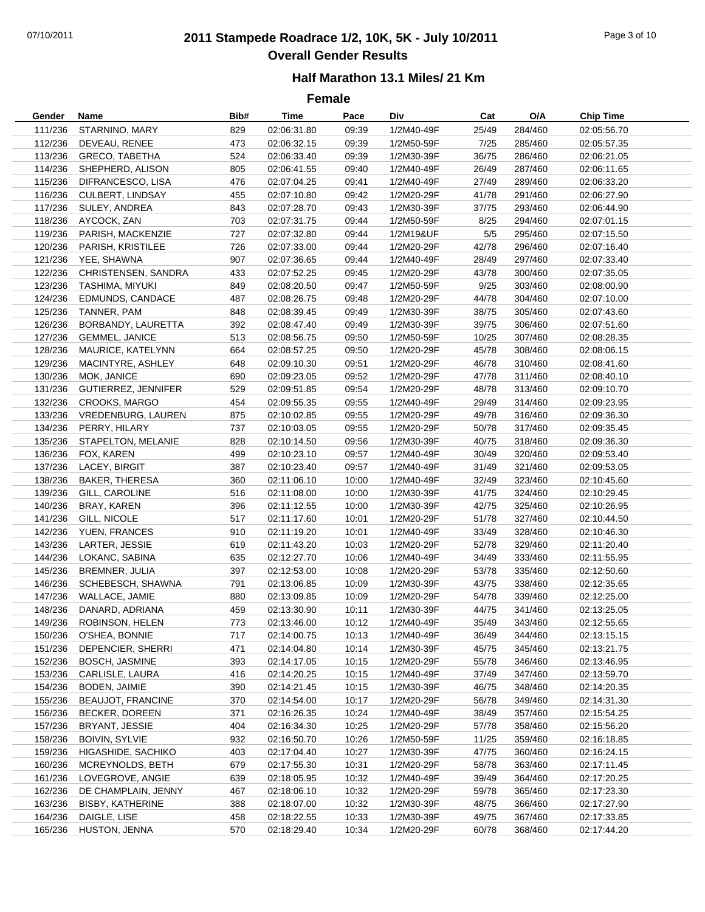# 07/10/2011 **2011 Stampede Roadrace 1/2, 10K, 5K - July 10/2011** Page 3 of 10 **Overall Gender Results**

### **Half Marathon 13.1 Miles/ 21 Km**

| Gender  | Name                      | Bib# | Time        | Pace  | Div        | Cat   | O/A     | <b>Chip Time</b> |
|---------|---------------------------|------|-------------|-------|------------|-------|---------|------------------|
| 111/236 | STARNINO, MARY            | 829  | 02:06:31.80 | 09:39 | 1/2M40-49F | 25/49 | 284/460 | 02:05:56.70      |
| 112/236 | DEVEAU, RENEE             | 473  | 02:06:32.15 | 09:39 | 1/2M50-59F | 7/25  | 285/460 | 02:05:57.35      |
| 113/236 | <b>GRECO, TABETHA</b>     | 524  | 02:06:33.40 | 09:39 | 1/2M30-39F | 36/75 | 286/460 | 02:06:21.05      |
| 114/236 | SHEPHERD, ALISON          | 805  | 02:06:41.55 | 09:40 | 1/2M40-49F | 26/49 | 287/460 | 02:06:11.65      |
| 115/236 | DIFRANCESCO, LISA         | 476  | 02:07:04.25 | 09:41 | 1/2M40-49F | 27/49 | 289/460 | 02:06:33.20      |
| 116/236 | CULBERT, LINDSAY          | 455  | 02:07:10.80 | 09:42 | 1/2M20-29F | 41/78 | 291/460 | 02:06:27.90      |
| 117/236 | SULEY, ANDREA             | 843  | 02:07:28.70 | 09:43 | 1/2M30-39F | 37/75 | 293/460 | 02:06:44.90      |
| 118/236 | AYCOCK, ZAN               | 703  | 02:07:31.75 | 09:44 | 1/2M50-59F | 8/25  | 294/460 | 02:07:01.15      |
| 119/236 | PARISH, MACKENZIE         | 727  | 02:07:32.80 | 09:44 | 1/2M19&UF  | 5/5   | 295/460 | 02:07:15.50      |
|         | 120/236 PARISH, KRISTILEE | 726  | 02:07:33.00 | 09:44 | 1/2M20-29F | 42/78 | 296/460 | 02:07:16.40      |
| 121/236 | YEE, SHAWNA               | 907  | 02:07:36.65 | 09:44 | 1/2M40-49F | 28/49 | 297/460 | 02:07:33.40      |
| 122/236 | CHRISTENSEN, SANDRA       | 433  | 02:07:52.25 | 09:45 | 1/2M20-29F | 43/78 | 300/460 | 02:07:35.05      |
| 123/236 | TASHIMA, MIYUKI           | 849  | 02:08:20.50 | 09:47 | 1/2M50-59F | 9/25  | 303/460 | 02:08:00.90      |
| 124/236 | <b>EDMUNDS, CANDACE</b>   | 487  | 02:08:26.75 | 09:48 | 1/2M20-29F | 44/78 | 304/460 | 02:07:10.00      |
| 125/236 | TANNER, PAM               | 848  | 02:08:39.45 | 09:49 | 1/2M30-39F | 38/75 | 305/460 | 02:07:43.60      |
| 126/236 | BORBANDY, LAURETTA        | 392  | 02:08:47.40 | 09:49 | 1/2M30-39F | 39/75 | 306/460 | 02:07:51.60      |
| 127/236 | GEMMEL, JANICE            | 513  | 02:08:56.75 | 09:50 | 1/2M50-59F | 10/25 | 307/460 | 02:08:28.35      |
| 128/236 | MAURICE, KATELYNN         | 664  | 02:08:57.25 | 09:50 | 1/2M20-29F | 45/78 | 308/460 | 02:08:06.15      |
| 129/236 | MACINTYRE, ASHLEY         | 648  | 02:09:10.30 | 09:51 | 1/2M20-29F | 46/78 | 310/460 | 02:08:41.60      |
| 130/236 | MOK, JANICE               | 690  | 02:09:23.05 | 09:52 | 1/2M20-29F | 47/78 | 311/460 | 02:08:40.10      |
| 131/236 | GUTIERREZ, JENNIFER       | 529  | 02:09:51.85 | 09:54 | 1/2M20-29F | 48/78 | 313/460 | 02:09:10.70      |
| 132/236 | <b>CROOKS, MARGO</b>      | 454  | 02:09:55.35 | 09:55 | 1/2M40-49F | 29/49 | 314/460 | 02:09:23.95      |
| 133/236 | VREDENBURG, LAUREN        | 875  | 02:10:02.85 | 09:55 | 1/2M20-29F | 49/78 | 316/460 | 02:09:36.30      |
| 134/236 | PERRY, HILARY             | 737  | 02:10:03.05 | 09:55 | 1/2M20-29F | 50/78 | 317/460 | 02:09:35.45      |
| 135/236 | STAPELTON, MELANIE        | 828  | 02:10:14.50 | 09:56 | 1/2M30-39F | 40/75 | 318/460 | 02:09:36.30      |
|         | 136/236 FOX, KAREN        | 499  | 02:10:23.10 | 09:57 | 1/2M40-49F | 30/49 | 320/460 | 02:09:53.40      |
|         | 137/236 LACEY, BIRGIT     | 387  | 02:10:23.40 | 09:57 | 1/2M40-49F | 31/49 | 321/460 | 02:09:53.05      |
| 138/236 | BAKER, THERESA            | 360  | 02:11:06.10 | 10:00 | 1/2M40-49F | 32/49 | 323/460 | 02:10:45.60      |
| 139/236 | GILL, CAROLINE            | 516  | 02:11:08.00 | 10:00 | 1/2M30-39F | 41/75 | 324/460 | 02:10:29.45      |
| 140/236 | BRAY, KAREN               | 396  | 02:11:12.55 | 10:00 | 1/2M30-39F | 42/75 | 325/460 | 02:10:26.95      |
| 141/236 | GILL, NICOLE              | 517  | 02:11:17.60 | 10:01 | 1/2M20-29F | 51/78 | 327/460 | 02:10:44.50      |
| 142/236 | YUEN, FRANCES             | 910  | 02:11:19.20 | 10:01 | 1/2M40-49F | 33/49 | 328/460 | 02:10:46.30      |
| 143/236 | LARTER, JESSIE            | 619  | 02:11:43.20 | 10:03 | 1/2M20-29F | 52/78 | 329/460 | 02:11:20.40      |
|         | 144/236 LOKANC, SABINA    | 635  | 02:12:27.70 | 10:06 | 1/2M40-49F | 34/49 | 333/460 | 02:11:55.95      |
| 145/236 | BREMNER, JULIA            | 397  | 02:12:53.00 | 10:08 | 1/2M20-29F | 53/78 | 335/460 | 02:12:50.60      |
| 146/236 | SCHEBESCH, SHAWNA         | 791  | 02:13:06.85 | 10:09 | 1/2M30-39F | 43/75 | 338/460 | 02:12:35.65      |
| 147/236 | WALLACE, JAMIE            | 880  | 02:13:09.85 | 10:09 | 1/2M20-29F | 54/78 | 339/460 | 02:12:25.00      |
| 148/236 | DANARD, ADRIANA           | 459  | 02:13:30.90 | 10:11 | 1/2M30-39F | 44/75 | 341/460 | 02:13:25.05      |
| 149/236 | ROBINSON, HELEN           | 773  | 02:13:46.00 | 10:12 | 1/2M40-49F | 35/49 | 343/460 | 02:12:55.65      |
| 150/236 | O'SHEA, BONNIE            | 717  | 02:14:00.75 | 10:13 | 1/2M40-49F | 36/49 | 344/460 | 02:13:15.15      |
| 151/236 | DEPENCIER, SHERRI         | 471  | 02:14:04.80 | 10:14 | 1/2M30-39F | 45/75 | 345/460 | 02:13:21.75      |
| 152/236 | <b>BOSCH, JASMINE</b>     | 393  | 02:14:17.05 | 10:15 | 1/2M20-29F | 55/78 | 346/460 | 02:13:46.95      |
| 153/236 | CARLISLE, LAURA           | 416  | 02:14:20.25 | 10:15 | 1/2M40-49F | 37/49 | 347/460 | 02:13:59.70      |
| 154/236 | BODEN, JAIMIE             | 390  | 02:14:21.45 | 10:15 | 1/2M30-39F | 46/75 | 348/460 | 02:14:20.35      |
| 155/236 | <b>BEAUJOT, FRANCINE</b>  | 370  | 02:14:54.00 | 10:17 | 1/2M20-29F | 56/78 | 349/460 | 02:14:31.30      |
| 156/236 | BECKER, DOREEN            | 371  | 02:16:26.35 | 10:24 | 1/2M40-49F | 38/49 | 357/460 | 02:15:54.25      |
| 157/236 | BRYANT, JESSIE            | 404  | 02:16:34.30 | 10:25 | 1/2M20-29F | 57/78 | 358/460 | 02:15:56.20      |
| 158/236 | <b>BOIVIN, SYLVIE</b>     | 932  | 02:16:50.70 | 10:26 | 1/2M50-59F | 11/25 | 359/460 | 02:16:18.85      |
| 159/236 | HIGASHIDE, SACHIKO        | 403  | 02:17:04.40 | 10:27 | 1/2M30-39F | 47/75 | 360/460 | 02:16:24.15      |
| 160/236 | MCREYNOLDS, BETH          | 679  | 02:17:55.30 | 10:31 | 1/2M20-29F | 58/78 | 363/460 | 02:17:11.45      |
| 161/236 | LOVEGROVE, ANGIE          | 639  | 02:18:05.95 | 10:32 | 1/2M40-49F | 39/49 | 364/460 | 02:17:20.25      |
| 162/236 | DE CHAMPLAIN, JENNY       | 467  | 02:18:06.10 | 10:32 | 1/2M20-29F | 59/78 | 365/460 | 02:17:23.30      |
| 163/236 | <b>BISBY, KATHERINE</b>   | 388  | 02:18:07.00 | 10:32 | 1/2M30-39F | 48/75 | 366/460 | 02:17:27.90      |
| 164/236 | DAIGLE, LISE              | 458  | 02:18:22.55 | 10:33 | 1/2M30-39F | 49/75 | 367/460 | 02:17:33.85      |
| 165/236 | HUSTON, JENNA             | 570  | 02:18:29.40 | 10:34 | 1/2M20-29F | 60/78 | 368/460 | 02:17:44.20      |
|         |                           |      |             |       |            |       |         |                  |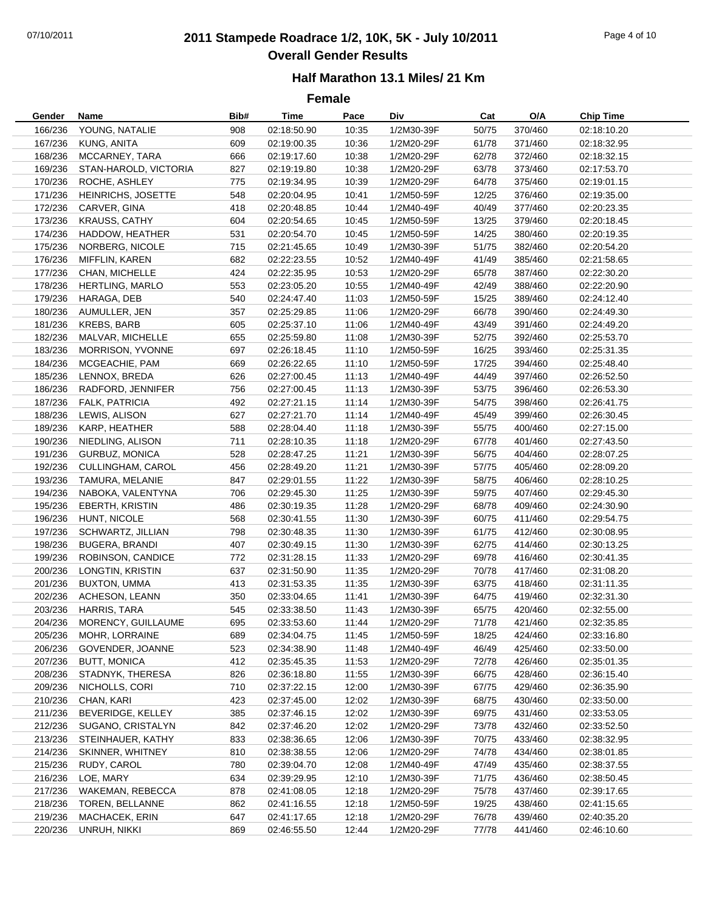# 07/10/2011 **2011 Stampede Roadrace 1/2, 10K, 5K - July 10/2011** Page 4 of 10 **Overall Gender Results**

### **Half Marathon 13.1 Miles/ 21 Km**

| Gender  | Name                       | Bib# | Time        | Pace  | Div        | Cat   | O/A     | <b>Chip Time</b> |
|---------|----------------------------|------|-------------|-------|------------|-------|---------|------------------|
| 166/236 | YOUNG, NATALIE             | 908  | 02:18:50.90 | 10:35 | 1/2M30-39F | 50/75 | 370/460 | 02:18:10.20      |
| 167/236 | KUNG, ANITA                | 609  | 02:19:00.35 | 10:36 | 1/2M20-29F | 61/78 | 371/460 | 02:18:32.95      |
| 168/236 | MCCARNEY, TARA             | 666  | 02:19:17.60 | 10:38 | 1/2M20-29F | 62/78 | 372/460 | 02:18:32.15      |
| 169/236 | STAN-HAROLD, VICTORIA      | 827  | 02:19:19.80 | 10:38 | 1/2M20-29F | 63/78 | 373/460 | 02:17:53.70      |
| 170/236 | ROCHE, ASHLEY              | 775  | 02:19:34.95 | 10:39 | 1/2M20-29F | 64/78 | 375/460 | 02:19:01.15      |
| 171/236 | <b>HEINRICHS, JOSETTE</b>  | 548  | 02:20:04.95 | 10:41 | 1/2M50-59F | 12/25 | 376/460 | 02:19:35.00      |
| 172/236 | CARVER, GINA               | 418  | 02:20:48.85 | 10:44 | 1/2M40-49F | 40/49 | 377/460 | 02:20:23.35      |
| 173/236 | <b>KRAUSS, CATHY</b>       | 604  | 02:20:54.65 | 10:45 | 1/2M50-59F | 13/25 | 379/460 | 02:20:18.45      |
| 174/236 | HADDOW, HEATHER            | 531  | 02:20:54.70 | 10:45 | 1/2M50-59F | 14/25 | 380/460 | 02:20:19.35      |
| 175/236 | NORBERG, NICOLE            | 715  | 02:21:45.65 | 10:49 | 1/2M30-39F | 51/75 | 382/460 | 02:20:54.20      |
|         | 176/236 MIFFLIN, KAREN     | 682  | 02:22:23.55 | 10:52 | 1/2M40-49F | 41/49 | 385/460 | 02:21:58.65      |
| 177/236 | CHAN, MICHELLE             | 424  | 02:22:35.95 | 10:53 | 1/2M20-29F | 65/78 | 387/460 | 02:22:30.20      |
| 178/236 | HERTLING, MARLO            | 553  | 02:23:05.20 | 10:55 | 1/2M40-49F | 42/49 | 388/460 | 02:22:20.90      |
| 179/236 | HARAGA, DEB                | 540  | 02:24:47.40 | 11:03 | 1/2M50-59F | 15/25 | 389/460 | 02:24:12.40      |
| 180/236 | AUMULLER, JEN              | 357  | 02:25:29.85 | 11:06 | 1/2M20-29F | 66/78 | 390/460 | 02:24:49.30      |
| 181/236 | KREBS, BARB                | 605  | 02:25:37.10 | 11:06 | 1/2M40-49F | 43/49 | 391/460 | 02:24:49.20      |
| 182/236 | MALVAR, MICHELLE           | 655  | 02:25:59.80 | 11:08 | 1/2M30-39F | 52/75 | 392/460 | 02:25:53.70      |
| 183/236 | MORRISON, YVONNE           | 697  | 02:26:18.45 | 11:10 | 1/2M50-59F | 16/25 | 393/460 | 02:25:31.35      |
| 184/236 | MCGEACHIE, PAM             | 669  | 02:26:22.65 | 11:10 | 1/2M50-59F | 17/25 | 394/460 | 02:25:48.40      |
| 185/236 | LENNOX, BREDA              | 626  | 02:27:00.45 | 11:13 | 1/2M40-49F | 44/49 | 397/460 | 02:26:52.50      |
| 186/236 | RADFORD, JENNIFER          | 756  | 02:27:00.45 | 11:13 | 1/2M30-39F | 53/75 | 396/460 | 02:26:53.30      |
| 187/236 | FALK, PATRICIA             | 492  | 02:27:21.15 | 11:14 | 1/2M30-39F | 54/75 | 398/460 | 02:26:41.75      |
| 188/236 | LEWIS, ALISON              | 627  | 02:27:21.70 | 11:14 | 1/2M40-49F | 45/49 | 399/460 | 02:26:30.45      |
| 189/236 | KARP, HEATHER              | 588  | 02:28:04.40 | 11:18 | 1/2M30-39F | 55/75 | 400/460 | 02:27:15.00      |
| 190/236 | NIEDLING, ALISON           | 711  | 02:28:10.35 | 11:18 | 1/2M20-29F | 67/78 | 401/460 | 02:27:43.50      |
|         | 191/236 GURBUZ, MONICA     | 528  | 02:28:47.25 | 11:21 | 1/2M30-39F | 56/75 | 404/460 | 02:28:07.25      |
|         | 192/236 CULLINGHAM, CAROL  | 456  | 02:28:49.20 | 11:21 | 1/2M30-39F | 57/75 | 405/460 | 02:28:09.20      |
| 193/236 | TAMURA, MELANIE            | 847  | 02:29:01.55 | 11:22 | 1/2M30-39F | 58/75 | 406/460 | 02:28:10.25      |
| 194/236 | NABOKA, VALENTYNA          | 706  | 02:29:45.30 | 11:25 | 1/2M30-39F | 59/75 | 407/460 | 02:29:45.30      |
| 195/236 | EBERTH, KRISTIN            | 486  | 02:30:19.35 | 11:28 | 1/2M20-29F | 68/78 | 409/460 | 02:24:30.90      |
| 196/236 | HUNT, NICOLE               | 568  | 02:30:41.55 | 11:30 | 1/2M30-39F | 60/75 | 411/460 | 02:29:54.75      |
| 197/236 | SCHWARTZ, JILLIAN          | 798  | 02:30:48.35 | 11:30 | 1/2M30-39F | 61/75 | 412/460 | 02:30:08.95      |
| 198/236 | <b>BUGERA, BRANDI</b>      | 407  | 02:30:49.15 | 11:30 | 1/2M30-39F | 62/75 | 414/460 | 02:30:13.25      |
| 199/236 | ROBINSON, CANDICE          | 772  | 02:31:28.15 | 11:33 | 1/2M20-29F | 69/78 | 416/460 | 02:30:41.35      |
| 200/236 | LONGTIN, KRISTIN           | 637  | 02:31:50.90 | 11:35 | 1/2M20-29F | 70/78 | 417/460 | 02:31:08.20      |
| 201/236 | <b>BUXTON, UMMA</b>        | 413  | 02:31:53.35 | 11:35 | 1/2M30-39F | 63/75 | 418/460 | 02:31:11.35      |
| 202/236 | ACHESON, LEANN             | 350  | 02:33:04.65 | 11:41 | 1/2M30-39F | 64/75 | 419/460 | 02:32:31.30      |
| 203/236 | HARRIS, TARA               | 545  | 02:33:38.50 | 11:43 | 1/2M30-39F | 65/75 | 420/460 | 02:32:55.00      |
|         | 204/236 MORENCY, GUILLAUME | 695  | 02:33:53.60 | 11:44 | 1/2M20-29F | 71/78 | 421/460 | 02:32:35.85      |
| 205/236 | MOHR, LORRAINE             | 689  | 02:34:04.75 | 11:45 | 1/2M50-59F | 18/25 | 424/460 | 02:33:16.80      |
| 206/236 | GOVENDER, JOANNE           | 523  | 02:34:38.90 | 11:48 | 1/2M40-49F | 46/49 | 425/460 | 02:33:50.00      |
| 207/236 | <b>BUTT, MONICA</b>        | 412  | 02:35:45.35 | 11:53 | 1/2M20-29F | 72/78 | 426/460 | 02:35:01.35      |
| 208/236 | STADNYK, THERESA           | 826  | 02:36:18.80 | 11:55 | 1/2M30-39F | 66/75 | 428/460 | 02:36:15.40      |
| 209/236 | NICHOLLS, CORI             | 710  | 02:37:22.15 | 12:00 | 1/2M30-39F | 67/75 | 429/460 | 02:36:35.90      |
| 210/236 | CHAN, KARI                 | 423  | 02:37:45.00 | 12:02 | 1/2M30-39F | 68/75 | 430/460 | 02:33:50.00      |
| 211/236 | BEVERIDGE, KELLEY          | 385  | 02:37:46.15 | 12:02 | 1/2M30-39F | 69/75 | 431/460 | 02:33:53.05      |
| 212/236 | SUGANO, CRISTALYN          | 842  | 02:37:46.20 | 12:02 | 1/2M20-29F | 73/78 | 432/460 | 02:33:52.50      |
| 213/236 | STEINHAUER, KATHY          | 833  | 02:38:36.65 | 12:06 | 1/2M30-39F | 70/75 | 433/460 | 02:38:32.95      |
| 214/236 | SKINNER, WHITNEY           | 810  | 02:38:38.55 | 12:06 | 1/2M20-29F | 74/78 | 434/460 | 02:38:01.85      |
| 215/236 | RUDY, CAROL                | 780  | 02:39:04.70 | 12:08 | 1/2M40-49F | 47/49 | 435/460 | 02:38:37.55      |
| 216/236 | LOE, MARY                  | 634  | 02:39:29.95 | 12:10 | 1/2M30-39F | 71/75 | 436/460 | 02:38:50.45      |
| 217/236 | WAKEMAN, REBECCA           | 878  | 02:41:08.05 | 12:18 | 1/2M20-29F | 75/78 | 437/460 | 02:39:17.65      |
| 218/236 | TOREN, BELLANNE            | 862  | 02:41:16.55 | 12:18 | 1/2M50-59F | 19/25 | 438/460 | 02:41:15.65      |
| 219/236 | MACHACEK, ERIN             | 647  | 02:41:17.65 | 12:18 | 1/2M20-29F | 76/78 | 439/460 | 02:40:35.20      |
| 220/236 | UNRUH, NIKKI               | 869  | 02:46:55.50 | 12:44 | 1/2M20-29F | 77/78 | 441/460 | 02:46:10.60      |
|         |                            |      |             |       |            |       |         |                  |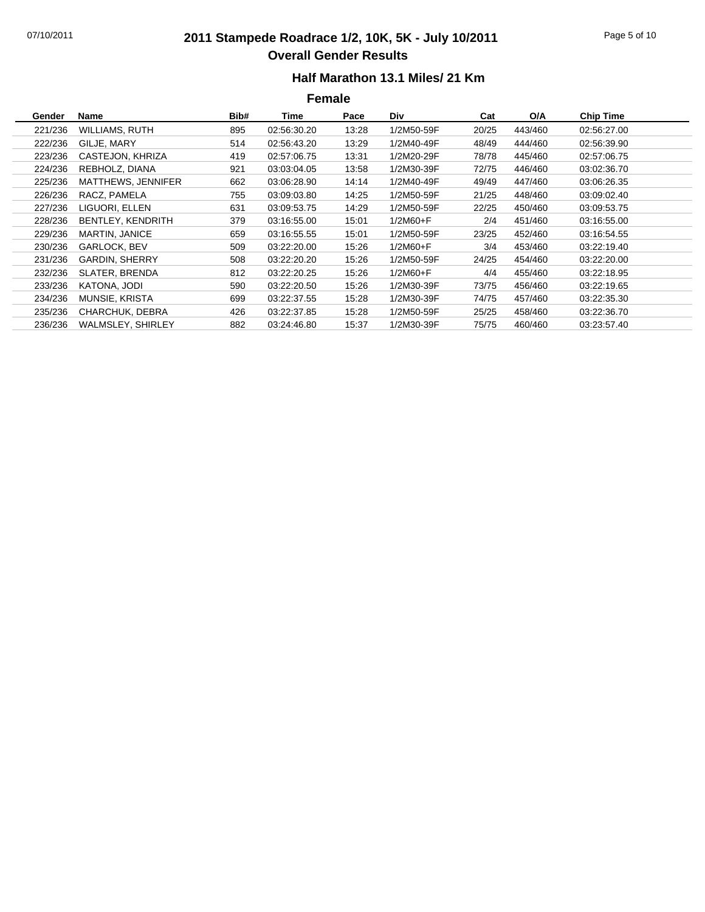## 07/10/2011 **2011 Stampede Roadrace 1/2, 10K, 5K - July 10/2011** Page 5 of 10 **Overall Gender Results**

### **Half Marathon 13.1 Miles/ 21 Km**

| Gender  | <b>Name</b>              | Bib# | Time        | Pace  | Div.       | Cat   | O/A     | <b>Chip Time</b> |
|---------|--------------------------|------|-------------|-------|------------|-------|---------|------------------|
| 221/236 | WILLIAMS, RUTH           | 895  | 02:56:30.20 | 13:28 | 1/2M50-59F | 20/25 | 443/460 | 02:56:27.00      |
| 222/236 | GILJE, MARY              | 514  | 02:56:43.20 | 13:29 | 1/2M40-49F | 48/49 | 444/460 | 02:56:39.90      |
| 223/236 | CASTEJON, KHRIZA         | 419  | 02:57:06.75 | 13:31 | 1/2M20-29F | 78/78 | 445/460 | 02:57:06.75      |
| 224/236 | REBHOLZ, DIANA           | 921  | 03:03:04.05 | 13:58 | 1/2M30-39F | 72/75 | 446/460 | 03:02:36.70      |
| 225/236 | MATTHEWS, JENNIFER       | 662  | 03:06:28.90 | 14:14 | 1/2M40-49F | 49/49 | 447/460 | 03:06:26.35      |
| 226/236 | RACZ, PAMELA             | 755  | 03:09:03.80 | 14:25 | 1/2M50-59F | 21/25 | 448/460 | 03:09:02.40      |
| 227/236 | LIGUORI, ELLEN           | 631  | 03:09:53.75 | 14:29 | 1/2M50-59F | 22/25 | 450/460 | 03:09:53.75      |
| 228/236 | BENTLEY, KENDRITH        | 379  | 03:16:55.00 | 15:01 | $1/2M60+F$ | 2/4   | 451/460 | 03:16:55.00      |
| 229/236 | MARTIN, JANICE           | 659  | 03:16:55.55 | 15:01 | 1/2M50-59F | 23/25 | 452/460 | 03:16:54.55      |
| 230/236 | GARLOCK, BEV             | 509  | 03:22:20.00 | 15:26 | $1/2M60+F$ | 3/4   | 453/460 | 03:22:19.40      |
| 231/236 | <b>GARDIN, SHERRY</b>    | 508  | 03:22:20.20 | 15:26 | 1/2M50-59F | 24/25 | 454/460 | 03:22:20.00      |
| 232/236 | <b>SLATER, BRENDA</b>    | 812  | 03:22:20.25 | 15:26 | $1/2M60+F$ | 4/4   | 455/460 | 03:22:18.95      |
| 233/236 | KATONA, JODI             | 590  | 03:22:20.50 | 15:26 | 1/2M30-39F | 73/75 | 456/460 | 03:22:19.65      |
| 234/236 | MUNSIE, KRISTA           | 699  | 03:22:37.55 | 15:28 | 1/2M30-39F | 74/75 | 457/460 | 03:22:35.30      |
| 235/236 | CHARCHUK, DEBRA          | 426  | 03:22:37.85 | 15:28 | 1/2M50-59F | 25/25 | 458/460 | 03:22:36.70      |
| 236/236 | <b>WALMSLEY, SHIRLEY</b> | 882  | 03:24:46.80 | 15:37 | 1/2M30-39F | 75/75 | 460/460 | 03:23:57.40      |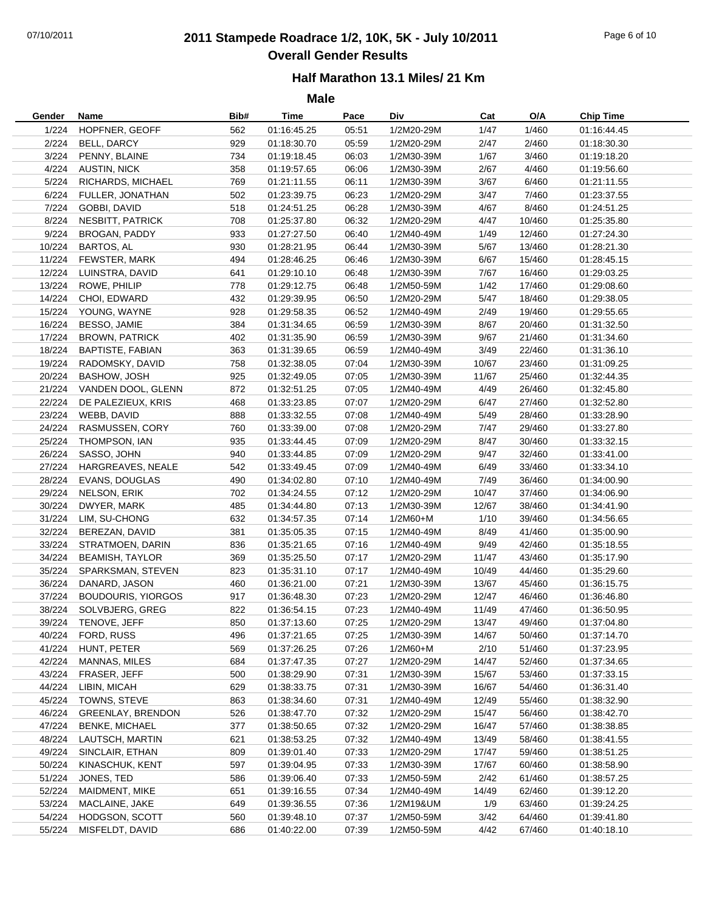# 07/10/2011 **2011 Stampede Roadrace 1/2, 10K, 5K - July 10/2011** Page 6 of 10 **Overall Gender Results**

### **Half Marathon 13.1 Miles/ 21 Km**

| Gender | Name                      | Bib# | Time        | Pace  | Div        | Cat   | O/A    | <b>Chip Time</b> |
|--------|---------------------------|------|-------------|-------|------------|-------|--------|------------------|
| 1/224  | HOPFNER, GEOFF            | 562  | 01:16:45.25 | 05:51 | 1/2M20-29M | 1/47  | 1/460  | 01:16:44.45      |
| 2/224  | BELL, DARCY               | 929  | 01:18:30.70 | 05:59 | 1/2M20-29M | 2/47  | 2/460  | 01:18:30.30      |
| 3/224  | PENNY, BLAINE             | 734  | 01:19:18.45 | 06:03 | 1/2M30-39M | 1/67  | 3/460  | 01:19:18.20      |
| 4/224  | <b>AUSTIN, NICK</b>       | 358  | 01:19:57.65 | 06:06 | 1/2M30-39M | 2/67  | 4/460  | 01:19:56.60      |
| 5/224  | RICHARDS, MICHAEL         | 769  | 01:21:11.55 | 06:11 | 1/2M30-39M | 3/67  | 6/460  | 01:21:11.55      |
| 6/224  | FULLER, JONATHAN          | 502  | 01:23:39.75 | 06:23 | 1/2M20-29M | 3/47  | 7/460  | 01:23:37.55      |
| 7/224  | GOBBI, DAVID              | 518  | 01:24:51.25 | 06:28 | 1/2M30-39M | 4/67  | 8/460  | 01:24:51.25      |
| 8/224  | NESBITT, PATRICK          | 708  | 01:25:37.80 | 06:32 | 1/2M20-29M | 4/47  | 10/460 | 01:25:35.80      |
| 9/224  | BROGAN, PADDY             | 933  | 01:27:27.50 | 06:40 | 1/2M40-49M | 1/49  | 12/460 | 01:27:24.30      |
| 10/224 | <b>BARTOS, AL</b>         | 930  | 01:28:21.95 | 06:44 | 1/2M30-39M | 5/67  | 13/460 | 01:28:21.30      |
| 11/224 | FEWSTER, MARK             | 494  | 01:28:46.25 | 06:46 | 1/2M30-39M | 6/67  | 15/460 | 01:28:45.15      |
| 12/224 | LUINSTRA, DAVID           | 641  | 01:29:10.10 | 06:48 | 1/2M30-39M | 7/67  | 16/460 | 01:29:03.25      |
| 13/224 | ROWE, PHILIP              | 778  | 01:29:12.75 | 06:48 | 1/2M50-59M | 1/42  | 17/460 | 01:29:08.60      |
| 14/224 | CHOI, EDWARD              | 432  | 01:29:39.95 | 06:50 | 1/2M20-29M | 5/47  | 18/460 | 01:29:38.05      |
| 15/224 | YOUNG, WAYNE              | 928  | 01:29:58.35 | 06:52 | 1/2M40-49M | 2/49  | 19/460 | 01:29:55.65      |
| 16/224 | BESSO, JAMIE              | 384  | 01:31:34.65 | 06:59 | 1/2M30-39M | 8/67  | 20/460 | 01:31:32.50      |
| 17/224 | <b>BROWN, PATRICK</b>     | 402  | 01:31:35.90 | 06:59 | 1/2M30-39M | 9/67  | 21/460 | 01:31:34.60      |
| 18/224 | <b>BAPTISTE, FABIAN</b>   | 363  | 01:31:39.65 | 06:59 | 1/2M40-49M | 3/49  | 22/460 | 01:31:36.10      |
| 19/224 | RADOMSKY, DAVID           | 758  | 01:32:38.05 | 07:04 | 1/2M30-39M | 10/67 | 23/460 | 01:31:09.25      |
| 20/224 | <b>BASHOW, JOSH</b>       | 925  | 01:32:49.05 | 07:05 | 1/2M30-39M | 11/67 | 25/460 | 01:32:44.35      |
| 21/224 | VANDEN DOOL, GLENN        | 872  | 01:32:51.25 | 07:05 | 1/2M40-49M | 4/49  | 26/460 | 01:32:45.80      |
| 22/224 | DE PALEZIEUX, KRIS        | 468  | 01:33:23.85 | 07:07 | 1/2M20-29M | 6/47  | 27/460 | 01:32:52.80      |
| 23/224 | WEBB, DAVID               | 888  | 01:33:32.55 | 07:08 | 1/2M40-49M | 5/49  | 28/460 | 01:33:28.90      |
| 24/224 | RASMUSSEN, CORY           | 760  | 01:33:39.00 | 07:08 | 1/2M20-29M | 7/47  | 29/460 | 01:33:27.80      |
| 25/224 | THOMPSON, IAN             | 935  | 01:33:44.45 | 07:09 | 1/2M20-29M | 8/47  | 30/460 | 01:33:32.15      |
| 26/224 | SASSO, JOHN               | 940  | 01:33:44.85 | 07:09 | 1/2M20-29M | 9/47  | 32/460 | 01:33:41.00      |
| 27/224 | HARGREAVES, NEALE         | 542  | 01:33:49.45 | 07:09 | 1/2M40-49M | 6/49  | 33/460 | 01:33:34.10      |
| 28/224 | EVANS, DOUGLAS            | 490  | 01:34:02.80 | 07:10 | 1/2M40-49M | 7/49  | 36/460 | 01:34:00.90      |
| 29/224 | NELSON, ERIK              | 702  | 01:34:24.55 | 07:12 | 1/2M20-29M | 10/47 | 37/460 | 01:34:06.90      |
| 30/224 | DWYER, MARK               | 485  | 01:34:44.80 | 07:13 | 1/2M30-39M | 12/67 | 38/460 | 01:34:41.90      |
| 31/224 | LIM, SU-CHONG             | 632  | 01:34:57.35 | 07:14 | $1/2M60+M$ | 1/10  | 39/460 | 01:34:56.65      |
| 32/224 | BEREZAN, DAVID            | 381  | 01:35:05.35 | 07:15 | 1/2M40-49M | 8/49  | 41/460 | 01:35:00.90      |
| 33/224 | STRATMOEN, DARIN          | 836  | 01:35:21.65 | 07:16 | 1/2M40-49M | 9/49  | 42/460 | 01:35:18.55      |
| 34/224 | <b>BEAMISH, TAYLOR</b>    | 369  | 01:35:25.50 | 07:17 | 1/2M20-29M | 11/47 | 43/460 | 01:35:17.90      |
| 35/224 | SPARKSMAN, STEVEN         | 823  | 01:35:31.10 | 07:17 | 1/2M40-49M | 10/49 | 44/460 | 01:35:29.60      |
| 36/224 | DANARD, JASON             | 460  | 01:36:21.00 | 07:21 | 1/2M30-39M | 13/67 | 45/460 | 01:36:15.75      |
| 37/224 | <b>BOUDOURIS, YIORGOS</b> | 917  | 01:36:48.30 | 07:23 | 1/2M20-29M | 12/47 | 46/460 | 01:36:46.80      |
| 38/224 | SOLVBJERG, GREG           | 822  | 01:36:54.15 | 07:23 | 1/2M40-49M | 11/49 | 47/460 | 01:36:50.95      |
| 39/224 | TENOVE, JEFF              | 850  | 01:37:13.60 | 07:25 | 1/2M20-29M | 13/47 | 49/460 | 01:37:04.80      |
| 40/224 | FORD, RUSS                | 496  | 01:37:21.65 | 07:25 | 1/2M30-39M | 14/67 | 50/460 | 01:37:14.70      |
| 41/224 | HUNT, PETER               | 569  | 01:37:26.25 | 07:26 | 1/2M60+M   | 2/10  | 51/460 | 01:37:23.95      |
| 42/224 | MANNAS, MILES             | 684  | 01:37:47.35 | 07:27 | 1/2M20-29M | 14/47 | 52/460 | 01:37:34.65      |
| 43/224 | FRASER, JEFF              | 500  | 01:38:29.90 | 07:31 | 1/2M30-39M | 15/67 | 53/460 | 01:37:33.15      |
| 44/224 | LIBIN, MICAH              | 629  | 01:38:33.75 | 07:31 | 1/2M30-39M | 16/67 | 54/460 | 01:36:31.40      |
| 45/224 | TOWNS, STEVE              | 863  | 01:38:34.60 | 07:31 | 1/2M40-49M | 12/49 | 55/460 | 01:38:32.90      |
| 46/224 | <b>GREENLAY, BRENDON</b>  | 526  | 01:38:47.70 | 07:32 | 1/2M20-29M | 15/47 | 56/460 | 01:38:42.70      |
| 47/224 | <b>BENKE, MICHAEL</b>     | 377  | 01:38:50.65 | 07:32 | 1/2M20-29M | 16/47 | 57/460 | 01:38:38.85      |
| 48/224 | LAUTSCH, MARTIN           | 621  | 01:38:53.25 | 07:32 | 1/2M40-49M | 13/49 | 58/460 | 01:38:41.55      |
| 49/224 | SINCLAIR, ETHAN           | 809  | 01:39:01.40 | 07:33 | 1/2M20-29M | 17/47 | 59/460 | 01:38:51.25      |
| 50/224 | KINASCHUK, KENT           | 597  | 01:39:04.95 | 07:33 | 1/2M30-39M | 17/67 | 60/460 | 01:38:58.90      |
| 51/224 | JONES, TED                | 586  | 01:39:06.40 | 07:33 | 1/2M50-59M | 2/42  | 61/460 | 01:38:57.25      |
| 52/224 | MAIDMENT, MIKE            | 651  | 01:39:16.55 | 07:34 | 1/2M40-49M | 14/49 | 62/460 | 01:39:12.20      |
| 53/224 | MACLAINE, JAKE            | 649  | 01:39:36.55 | 07:36 | 1/2M19&UM  | 1/9   | 63/460 | 01:39:24.25      |
| 54/224 | HODGSON, SCOTT            | 560  | 01:39:48.10 | 07:37 | 1/2M50-59M | 3/42  | 64/460 | 01:39:41.80      |
| 55/224 | MISFELDT, DAVID           | 686  | 01:40:22.00 | 07:39 | 1/2M50-59M | 4/42  | 67/460 | 01:40:18.10      |
|        |                           |      |             |       |            |       |        |                  |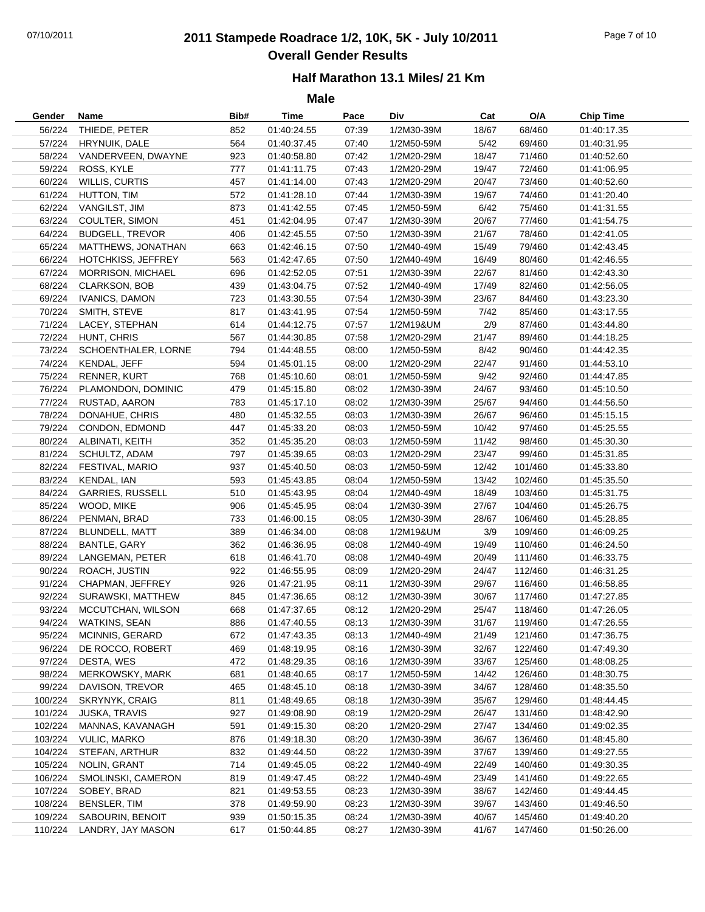# 07/10/2011 **2011 Stampede Roadrace 1/2, 10K, 5K - July 10/2011** Page 7 of 10 **Overall Gender Results**

### **Half Marathon 13.1 Miles/ 21 Km**

| Gender  | Name                    | Bib# | Time        | Pace  | Div        | Cat   | O/A     | <b>Chip Time</b> |
|---------|-------------------------|------|-------------|-------|------------|-------|---------|------------------|
| 56/224  | THIEDE, PETER           | 852  | 01:40:24.55 | 07:39 | 1/2M30-39M | 18/67 | 68/460  | 01:40:17.35      |
|         | 57/224 HRYNUIK, DALE    | 564  | 01:40:37.45 | 07:40 | 1/2M50-59M | 5/42  | 69/460  | 01:40:31.95      |
| 58/224  | VANDERVEEN, DWAYNE      | 923  | 01:40:58.80 | 07:42 | 1/2M20-29M | 18/47 | 71/460  | 01:40:52.60      |
| 59/224  | ROSS, KYLE              | 777  | 01:41:11.75 | 07:43 | 1/2M20-29M | 19/47 | 72/460  | 01:41:06.95      |
| 60/224  | WILLIS, CURTIS          | 457  | 01:41:14.00 | 07:43 | 1/2M20-29M | 20/47 | 73/460  | 01:40:52.60      |
| 61/224  | HUTTON, TIM             | 572  | 01:41:28.10 | 07:44 | 1/2M30-39M | 19/67 | 74/460  | 01:41:20.40      |
| 62/224  | VANGILST, JIM           | 873  | 01:41:42.55 | 07:45 | 1/2M50-59M | 6/42  | 75/460  | 01:41:31.55      |
| 63/224  | COULTER, SIMON          | 451  | 01:42:04.95 | 07:47 | 1/2M30-39M | 20/67 | 77/460  | 01:41:54.75      |
| 64/224  | <b>BUDGELL, TREVOR</b>  | 406  | 01:42:45.55 | 07:50 | 1/2M30-39M | 21/67 | 78/460  | 01:42:41.05      |
| 65/224  | MATTHEWS, JONATHAN      | 663  | 01:42:46.15 | 07:50 | 1/2M40-49M | 15/49 | 79/460  | 01:42:43.45      |
| 66/224  | HOTCHKISS, JEFFREY      | 563  | 01:42:47.65 | 07:50 | 1/2M40-49M | 16/49 | 80/460  | 01:42:46.55      |
| 67/224  | MORRISON, MICHAEL       | 696  | 01:42:52.05 | 07:51 | 1/2M30-39M | 22/67 | 81/460  | 01:42:43.30      |
| 68/224  | CLARKSON, BOB           | 439  | 01:43:04.75 | 07:52 | 1/2M40-49M | 17/49 | 82/460  | 01:42:56.05      |
| 69/224  | <b>IVANICS, DAMON</b>   | 723  | 01:43:30.55 | 07:54 | 1/2M30-39M | 23/67 | 84/460  | 01:43:23.30      |
| 70/224  | SMITH, STEVE            | 817  | 01:43:41.95 | 07:54 | 1/2M50-59M | 7/42  | 85/460  | 01:43:17.55      |
| 71/224  | LACEY, STEPHAN          | 614  | 01:44:12.75 | 07:57 | 1/2M19&UM  | 2/9   | 87/460  | 01:43:44.80      |
| 72/224  | HUNT, CHRIS             | 567  | 01:44:30.85 | 07:58 | 1/2M20-29M | 21/47 | 89/460  | 01:44:18.25      |
| 73/224  | SCHOENTHALER, LORNE     | 794  | 01:44:48.55 | 08:00 | 1/2M50-59M | 8/42  | 90/460  | 01:44:42.35      |
| 74/224  | KENDAL, JEFF            | 594  | 01:45:01.15 | 08:00 | 1/2M20-29M | 22/47 | 91/460  | 01:44:53.10      |
| 75/224  | <b>RENNER, KURT</b>     | 768  | 01:45:10.60 | 08:01 | 1/2M50-59M | 9/42  | 92/460  | 01:44:47.85      |
| 76/224  | PLAMONDON, DOMINIC      | 479  | 01:45:15.80 | 08:02 | 1/2M30-39M | 24/67 | 93/460  | 01:45:10.50      |
| 77/224  | RUSTAD, AARON           | 783  | 01:45:17.10 | 08:02 | 1/2M30-39M | 25/67 | 94/460  | 01:44:56.50      |
| 78/224  | DONAHUE, CHRIS          | 480  | 01:45:32.55 | 08:03 | 1/2M30-39M | 26/67 | 96/460  | 01:45:15.15      |
| 79/224  | CONDON, EDMOND          | 447  | 01:45:33.20 | 08:03 | 1/2M50-59M | 10/42 | 97/460  | 01:45:25.55      |
| 80/224  | ALBINATI, KEITH         | 352  | 01:45:35.20 | 08:03 | 1/2M50-59M | 11/42 | 98/460  | 01:45:30.30      |
| 81/224  | SCHULTZ, ADAM           | 797  | 01:45:39.65 | 08:03 | 1/2M20-29M | 23/47 | 99/460  | 01:45:31.85      |
| 82/224  | FESTIVAL, MARIO         | 937  | 01:45:40.50 | 08:03 | 1/2M50-59M | 12/42 | 101/460 | 01:45:33.80      |
| 83/224  | KENDAL, IAN             | 593  | 01:45:43.85 | 08:04 | 1/2M50-59M | 13/42 | 102/460 | 01:45:35.50      |
| 84/224  | <b>GARRIES, RUSSELL</b> | 510  | 01:45:43.95 | 08:04 | 1/2M40-49M | 18/49 | 103/460 | 01:45:31.75      |
| 85/224  | WOOD, MIKE              | 906  | 01:45:45.95 | 08:04 | 1/2M30-39M | 27/67 | 104/460 | 01:45:26.75      |
| 86/224  | PENMAN, BRAD            | 733  | 01:46:00.15 | 08:05 | 1/2M30-39M | 28/67 | 106/460 | 01:45:28.85      |
| 87/224  | BLUNDELL, MATT          | 389  | 01:46:34.00 | 08:08 | 1/2M19&UM  | 3/9   | 109/460 | 01:46:09.25      |
| 88/224  | <b>BANTLE, GARY</b>     | 362  | 01:46:36.95 | 08:08 | 1/2M40-49M | 19/49 | 110/460 | 01:46:24.50      |
| 89/224  | LANGEMAN, PETER         | 618  | 01:46:41.70 | 08:08 | 1/2M40-49M | 20/49 | 111/460 | 01:46:33.75      |
| 90/224  | ROACH, JUSTIN           | 922  | 01:46:55.95 | 08:09 | 1/2M20-29M | 24/47 | 112/460 | 01:46:31.25      |
| 91/224  | CHAPMAN, JEFFREY        | 926  | 01:47:21.95 | 08:11 | 1/2M30-39M | 29/67 | 116/460 | 01:46:58.85      |
| 92/224  | SURAWSKI, MATTHEW       | 845  | 01:47:36.65 | 08:12 | 1/2M30-39M | 30/67 | 117/460 | 01:47:27.85      |
| 93/224  | MCCUTCHAN, WILSON       | 668  | 01:47:37.65 | 08:12 | 1/2M20-29M | 25/47 | 118/460 | 01:47:26.05      |
| 94/224  | <b>WATKINS, SEAN</b>    | 886  | 01:47:40.55 | 08:13 | 1/2M30-39M | 31/67 | 119/460 | 01:47:26.55      |
| 95/224  | MCINNIS, GERARD         | 672  | 01:47:43.35 | 08:13 | 1/2M40-49M | 21/49 | 121/460 | 01:47:36.75      |
| 96/224  | DE ROCCO, ROBERT        | 469  | 01:48:19.95 | 08:16 | 1/2M30-39M | 32/67 | 122/460 | 01:47:49.30      |
| 97/224  | DESTA, WES              | 472  | 01:48:29.35 | 08:16 | 1/2M30-39M | 33/67 | 125/460 | 01:48:08.25      |
| 98/224  | MERKOWSKY, MARK         | 681  | 01:48:40.65 | 08:17 | 1/2M50-59M | 14/42 | 126/460 | 01:48:30.75      |
| 99/224  | DAVISON, TREVOR         | 465  | 01:48:45.10 | 08:18 | 1/2M30-39M | 34/67 | 128/460 | 01:48:35.50      |
| 100/224 | <b>SKRYNYK, CRAIG</b>   | 811  | 01:48:49.65 | 08:18 | 1/2M30-39M | 35/67 | 129/460 | 01:48:44.45      |
| 101/224 | <b>JUSKA, TRAVIS</b>    | 927  | 01:49:08.90 | 08:19 | 1/2M20-29M | 26/47 | 131/460 | 01:48:42.90      |
| 102/224 | MANNAS, KAVANAGH        | 591  | 01:49:15.30 | 08:20 | 1/2M20-29M | 27/47 | 134/460 | 01:49:02.35      |
| 103/224 | <b>VULIC, MARKO</b>     | 876  | 01:49:18.30 | 08:20 | 1/2M30-39M | 36/67 | 136/460 | 01:48:45.80      |
| 104/224 | STEFAN, ARTHUR          | 832  | 01:49:44.50 | 08:22 | 1/2M30-39M | 37/67 | 139/460 | 01:49:27.55      |
| 105/224 | NOLIN, GRANT            | 714  | 01:49:45.05 | 08:22 | 1/2M40-49M | 22/49 | 140/460 | 01:49:30.35      |
| 106/224 | SMOLINSKI, CAMERON      | 819  | 01:49:47.45 | 08:22 | 1/2M40-49M | 23/49 | 141/460 | 01:49:22.65      |
| 107/224 | SOBEY, BRAD             | 821  | 01:49:53.55 | 08:23 | 1/2M30-39M | 38/67 | 142/460 | 01:49:44.45      |
| 108/224 | BENSLER, TIM            | 378  | 01:49:59.90 | 08:23 | 1/2M30-39M | 39/67 | 143/460 | 01:49:46.50      |
| 109/224 | SABOURIN, BENOIT        | 939  | 01:50:15.35 | 08:24 | 1/2M30-39M | 40/67 | 145/460 | 01:49:40.20      |
|         |                         |      |             |       |            |       | 147/460 |                  |
| 110/224 | LANDRY, JAY MASON       | 617  | 01:50:44.85 | 08:27 | 1/2M30-39M | 41/67 |         | 01:50:26.00      |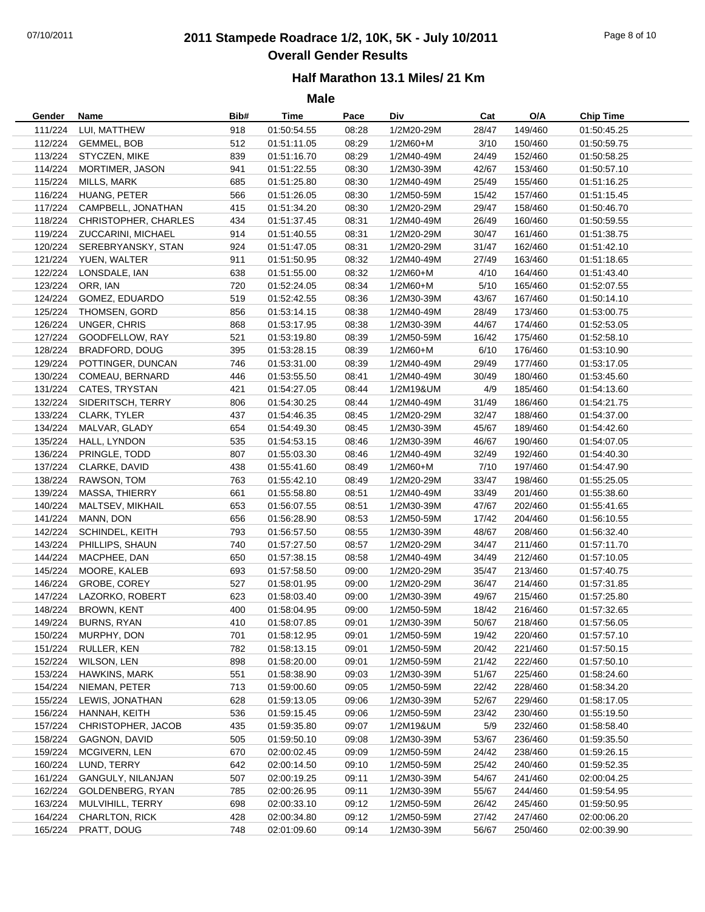# 07/10/2011 **2011 Stampede Roadrace 1/2, 10K, 5K - July 10/2011** Page 8 of 10 **Overall Gender Results**

### **Half Marathon 13.1 Miles/ 21 Km**

| Gender  | Name                                | Bib# | Time        | Pace  | Div        | Cat   | O/A                | <b>Chip Time</b>           |
|---------|-------------------------------------|------|-------------|-------|------------|-------|--------------------|----------------------------|
| 111/224 | LUI, MATTHEW                        | 918  | 01:50:54.55 | 08:28 | 1/2M20-29M | 28/47 | 149/460            | 01:50:45.25                |
| 112/224 | <b>GEMMEL, BOB</b>                  | 512  | 01:51:11.05 | 08:29 | $1/2M60+M$ | 3/10  | 150/460            | 01:50:59.75                |
| 113/224 | STYCZEN, MIKE                       | 839  | 01:51:16.70 | 08:29 | 1/2M40-49M | 24/49 | 152/460            | 01:50:58.25                |
| 114/224 | MORTIMER, JASON                     | 941  | 01:51:22.55 | 08:30 | 1/2M30-39M | 42/67 | 153/460            | 01:50:57.10                |
| 115/224 | MILLS, MARK                         | 685  | 01:51:25.80 | 08:30 | 1/2M40-49M | 25/49 | 155/460            | 01:51:16.25                |
| 116/224 | HUANG, PETER                        | 566  | 01:51:26.05 | 08:30 | 1/2M50-59M | 15/42 | 157/460            | 01:51:15.45                |
| 117/224 | CAMPBELL, JONATHAN                  | 415  | 01:51:34.20 | 08:30 | 1/2M20-29M | 29/47 | 158/460            | 01:50:46.70                |
| 118/224 | CHRISTOPHER, CHARLES                | 434  | 01:51:37.45 | 08:31 | 1/2M40-49M | 26/49 | 160/460            | 01:50:59.55                |
| 119/224 | ZUCCARINI, MICHAEL                  | 914  | 01:51:40.55 | 08:31 | 1/2M20-29M | 30/47 | 161/460            | 01:51:38.75                |
| 120/224 | SEREBRYANSKY, STAN                  | 924  | 01:51:47.05 | 08:31 | 1/2M20-29M | 31/47 | 162/460            | 01:51:42.10                |
| 121/224 | YUEN, WALTER                        | 911  | 01:51:50.95 | 08:32 | 1/2M40-49M | 27/49 | 163/460            | 01:51:18.65                |
| 122/224 | LONSDALE, IAN                       | 638  | 01:51:55.00 | 08:32 | 1/2M60+M   | 4/10  | 164/460            | 01:51:43.40                |
| 123/224 | ORR, IAN                            | 720  | 01:52:24.05 | 08:34 | 1/2M60+M   | 5/10  | 165/460            | 01:52:07.55                |
| 124/224 | GOMEZ, EDUARDO                      | 519  | 01:52:42.55 | 08:36 | 1/2M30-39M | 43/67 | 167/460            | 01:50:14.10                |
| 125/224 | THOMSEN, GORD                       | 856  | 01:53:14.15 | 08:38 | 1/2M40-49M | 28/49 | 173/460            | 01:53:00.75                |
| 126/224 | UNGER, CHRIS                        | 868  | 01:53:17.95 | 08:38 | 1/2M30-39M | 44/67 | 174/460            | 01:52:53.05                |
| 127/224 | GOODFELLOW, RAY                     | 521  | 01:53:19.80 | 08:39 | 1/2M50-59M | 16/42 | 175/460            | 01:52:58.10                |
| 128/224 | <b>BRADFORD, DOUG</b>               | 395  | 01:53:28.15 | 08:39 | 1/2M60+M   | 6/10  | 176/460            | 01:53:10.90                |
| 129/224 | POTTINGER, DUNCAN                   | 746  | 01:53:31.00 | 08:39 | 1/2M40-49M | 29/49 | 177/460            | 01:53:17.05                |
| 130/224 | COMEAU, BERNARD                     | 446  | 01:53:55.50 | 08:41 | 1/2M40-49M | 30/49 | 180/460            | 01:53:45.60                |
| 131/224 | CATES, TRYSTAN                      | 421  | 01:54:27.05 | 08:44 | 1/2M19&UM  | 4/9   | 185/460            | 01:54:13.60                |
| 132/224 | SIDERITSCH, TERRY                   | 806  | 01:54:30.25 | 08:44 | 1/2M40-49M | 31/49 | 186/460            | 01:54:21.75                |
| 133/224 | CLARK, TYLER                        | 437  | 01:54:46.35 | 08:45 | 1/2M20-29M | 32/47 | 188/460            | 01:54:37.00                |
| 134/224 | MALVAR, GLADY                       | 654  | 01:54:49.30 | 08:45 | 1/2M30-39M | 45/67 | 189/460            | 01:54:42.60                |
| 135/224 | HALL, LYNDON                        | 535  | 01:54:53.15 | 08:46 | 1/2M30-39M | 46/67 | 190/460            | 01:54:07.05                |
| 136/224 | PRINGLE, TODD                       | 807  | 01:55:03.30 | 08:46 | 1/2M40-49M | 32/49 | 192/460            | 01:54:40.30                |
| 137/224 | CLARKE, DAVID                       | 438  | 01:55:41.60 | 08:49 | 1/2M60+M   | 7/10  | 197/460            | 01:54:47.90                |
| 138/224 | RAWSON, TOM                         | 763  | 01:55:42.10 | 08:49 | 1/2M20-29M | 33/47 | 198/460            | 01:55:25.05                |
| 139/224 | MASSA, THIERRY                      | 661  | 01:55:58.80 | 08:51 | 1/2M40-49M | 33/49 | 201/460            | 01:55:38.60                |
| 140/224 | MALTSEV, MIKHAIL                    | 653  | 01:56:07.55 | 08:51 | 1/2M30-39M | 47/67 | 202/460            | 01:55:41.65                |
| 141/224 | MANN, DON                           | 656  | 01:56:28.90 | 08:53 | 1/2M50-59M | 17/42 | 204/460            | 01:56:10.55                |
| 142/224 | SCHINDEL, KEITH                     | 793  | 01:56:57.50 | 08:55 | 1/2M30-39M | 48/67 | 208/460            | 01:56:32.40                |
| 143/224 | PHILLIPS, SHAUN                     | 740  | 01:57:27.50 | 08:57 | 1/2M20-29M | 34/47 | 211/460            | 01:57:11.70                |
| 144/224 | MACPHEE, DAN                        | 650  | 01:57:38.15 | 08:58 | 1/2M40-49M | 34/49 | 212/460            | 01:57:10.05                |
| 145/224 | MOORE, KALEB                        | 693  | 01:57:58.50 | 09:00 | 1/2M20-29M | 35/47 | 213/460            | 01:57:40.75                |
| 146/224 | GROBE, COREY                        | 527  | 01:58:01.95 | 09:00 | 1/2M20-29M | 36/47 | 214/460            | 01:57:31.85                |
| 147/224 | LAZORKO, ROBERT                     | 623  | 01:58:03.40 | 09:00 | 1/2M30-39M | 49/67 | 215/460            | 01:57:25.80                |
| 148/224 | <b>BROWN, KENT</b>                  | 400  | 01:58:04.95 | 09:00 | 1/2M50-59M | 18/42 | 216/460            | 01:57:32.65                |
| 149/224 | <b>BURNS, RYAN</b>                  | 410  | 01:58:07.85 | 09:01 | 1/2M30-39M | 50/67 | 218/460            | 01:57:56.05                |
| 150/224 | MURPHY, DON                         | 701  | 01:58:12.95 | 09:01 | 1/2M50-59M | 19/42 | 220/460            | 01:57:57.10                |
| 151/224 | RULLER, KEN                         | 782  | 01:58:13.15 | 09:01 | 1/2M50-59M | 20/42 | 221/460            | 01:57:50.15                |
| 152/224 | WILSON, LEN                         | 898  | 01:58:20.00 | 09:01 | 1/2M50-59M | 21/42 | 222/460            | 01:57:50.10                |
| 153/224 | HAWKINS, MARK                       | 551  | 01:58:38.90 | 09:03 | 1/2M30-39M | 51/67 | 225/460            | 01:58:24.60                |
| 154/224 |                                     | 713  | 01:59:00.60 | 09:05 | 1/2M50-59M | 22/42 |                    |                            |
| 155/224 | NIEMAN, PETER<br>LEWIS, JONATHAN    |      |             |       |            |       | 228/460<br>229/460 | 01:58:34.20                |
| 156/224 |                                     | 628  | 01:59:13.05 | 09:06 | 1/2M30-39M | 52/67 | 230/460            | 01:58:17.05                |
| 157/224 | HANNAH, KEITH<br>CHRISTOPHER, JACOB | 536  | 01:59:15.45 | 09:06 | 1/2M50-59M | 23/42 | 232/460            | 01:55:19.50<br>01:58:58.40 |
|         |                                     | 435  | 01:59:35.80 | 09:07 | 1/2M19&UM  | 5/9   |                    |                            |
| 158/224 | GAGNON, DAVID                       | 505  | 01:59:50.10 | 09:08 | 1/2M30-39M | 53/67 | 236/460            | 01:59:35.50                |
| 159/224 | MCGIVERN, LEN                       | 670  | 02:00:02.45 | 09:09 | 1/2M50-59M | 24/42 | 238/460            | 01:59:26.15                |
| 160/224 | LUND, TERRY                         | 642  | 02:00:14.50 | 09:10 | 1/2M50-59M | 25/42 | 240/460            | 01:59:52.35                |
| 161/224 | GANGULY, NILANJAN                   | 507  | 02:00:19.25 | 09:11 | 1/2M30-39M | 54/67 | 241/460            | 02:00:04.25                |
| 162/224 | GOLDENBERG, RYAN                    | 785  | 02:00:26.95 | 09:11 | 1/2M30-39M | 55/67 | 244/460            | 01:59:54.95                |
| 163/224 | MULVIHILL, TERRY                    | 698  | 02:00:33.10 | 09:12 | 1/2M50-59M | 26/42 | 245/460            | 01:59:50.95                |
| 164/224 | CHARLTON, RICK                      | 428  | 02:00:34.80 | 09:12 | 1/2M50-59M | 27/42 | 247/460            | 02:00:06.20                |
| 165/224 | PRATT, DOUG                         | 748  | 02:01:09.60 | 09:14 | 1/2M30-39M | 56/67 | 250/460            | 02:00:39.90                |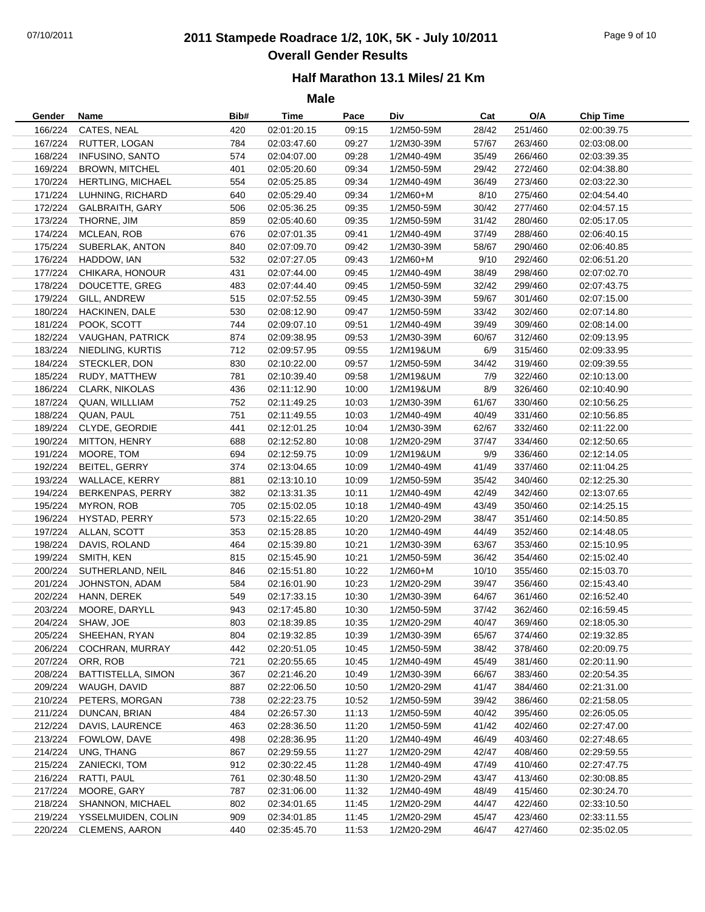# 07/10/2011 **2011 Stampede Roadrace 1/2, 10K, 5K - July 10/2011** Page 9 of 10 **Overall Gender Results**

### **Half Marathon 13.1 Miles/ 21 Km**

| Gender  | Name                        | Bib# | Time                       | Pace  | Div          | Cat   | O/A     | <b>Chip Time</b>           |
|---------|-----------------------------|------|----------------------------|-------|--------------|-------|---------|----------------------------|
| 166/224 | CATES, NEAL                 | 420  | 02:01:20.15                | 09:15 | 1/2M50-59M   | 28/42 | 251/460 | 02:00:39.75                |
|         | 167/224 RUTTER, LOGAN       | 784  | 02:03:47.60                | 09:27 | 1/2M30-39M   | 57/67 | 263/460 | 02:03:08.00                |
| 168/224 | <b>INFUSINO, SANTO</b>      | 574  | 02:04:07.00                | 09:28 | 1/2M40-49M   | 35/49 | 266/460 | 02:03:39.35                |
| 169/224 | BROWN, MITCHEL              | 401  | 02:05:20.60                | 09:34 | 1/2M50-59M   | 29/42 | 272/460 | 02:04:38.80                |
| 170/224 | <b>HERTLING, MICHAEL</b>    | 554  | 02:05:25.85                | 09:34 | 1/2M40-49M   | 36/49 | 273/460 | 02:03:22.30                |
| 171/224 | LUHNING, RICHARD            | 640  | 02:05:29.40                | 09:34 | $1/2M60 + M$ | 8/10  | 275/460 | 02:04:54.40                |
| 172/224 | <b>GALBRAITH, GARY</b>      | 506  | 02:05:36.25                | 09:35 | 1/2M50-59M   | 30/42 | 277/460 | 02:04:57.15                |
| 173/224 | THORNE, JIM                 | 859  | 02:05:40.60                | 09:35 | 1/2M50-59M   | 31/42 | 280/460 | 02:05:17.05                |
| 174/224 | MCLEAN, ROB                 | 676  | 02:07:01.35                | 09:41 | 1/2M40-49M   | 37/49 | 288/460 | 02:06:40.15                |
|         | 175/224 SUBERLAK, ANTON     | 840  | 02:07:09.70                | 09:42 | 1/2M30-39M   | 58/67 | 290/460 | 02:06:40.85                |
| 176/224 | HADDOW, IAN                 | 532  | 02:07:27.05                | 09:43 | 1/2M60+M     | 9/10  | 292/460 | 02:06:51.20                |
| 177/224 | CHIKARA, HONOUR             | 431  | 02:07:44.00                | 09:45 | 1/2M40-49M   | 38/49 | 298/460 | 02:07:02.70                |
| 178/224 | DOUCETTE, GREG              | 483  | 02:07:44.40                | 09:45 | 1/2M50-59M   | 32/42 | 299/460 | 02:07:43.75                |
| 179/224 | GILL, ANDREW                | 515  | 02:07:52.55                | 09:45 | 1/2M30-39M   | 59/67 | 301/460 | 02:07:15.00                |
| 180/224 | HACKINEN, DALE              | 530  | 02:08:12.90                | 09:47 | 1/2M50-59M   | 33/42 | 302/460 | 02:07:14.80                |
| 181/224 | POOK, SCOTT                 | 744  | 02:09:07.10                | 09:51 | 1/2M40-49M   | 39/49 | 309/460 | 02:08:14.00                |
|         | 182/224 VAUGHAN, PATRICK    | 874  | 02:09:38.95                | 09:53 | 1/2M30-39M   | 60/67 | 312/460 | 02:09:13.95                |
|         | 183/224 NIEDLING, KURTIS    | 712  | 02:09:57.95                | 09:55 | 1/2M19&UM    | 6/9   | 315/460 | 02:09:33.95                |
| 184/224 | STECKLER, DON               | 830  | 02:10:22.00                | 09:57 | 1/2M50-59M   | 34/42 | 319/460 | 02:09:39.55                |
| 185/224 | RUDY, MATTHEW               | 781  | 02:10:39.40                | 09:58 | 1/2M19&UM    | 7/9   | 322/460 | 02:10:13.00                |
| 186/224 | <b>CLARK, NIKOLAS</b>       | 436  | 02:11:12.90                | 10:00 | 1/2M19&UM    | 8/9   | 326/460 | 02:10:40.90                |
| 187/224 | QUAN, WILLLIAM              | 752  | 02:11:49.25                | 10:03 | 1/2M30-39M   | 61/67 | 330/460 | 02:10:56.25                |
| 188/224 | QUAN, PAUL                  | 751  | 02:11:49.55                | 10:03 | 1/2M40-49M   | 40/49 | 331/460 | 02:10:56.85                |
| 189/224 | CLYDE, GEORDIE              | 441  | 02:12:01.25                | 10:04 | 1/2M30-39M   | 62/67 | 332/460 | 02:11:22.00                |
| 190/224 | MITTON, HENRY               | 688  | 02:12:52.80                | 10:08 | 1/2M20-29M   | 37/47 | 334/460 | 02:12:50.65                |
| 191/224 | MOORE, TOM                  | 694  | 02:12:59.75                | 10:09 | 1/2M19&UM    | 9/9   | 336/460 | 02:12:14.05                |
| 192/224 | BEITEL, GERRY               | 374  | 02:13:04.65                | 10:09 | 1/2M40-49M   | 41/49 | 337/460 | 02:11:04.25                |
| 193/224 | WALLACE, KERRY              | 881  | 02:13:10.10                | 10:09 | 1/2M50-59M   | 35/42 | 340/460 | 02:12:25.30                |
| 194/224 | BERKENPAS, PERRY            | 382  | 02:13:31.35                | 10:11 | 1/2M40-49M   | 42/49 | 342/460 | 02:13:07.65                |
| 195/224 | MYRON, ROB                  | 705  | 02:15:02.05                | 10:18 | 1/2M40-49M   | 43/49 | 350/460 | 02:14:25.15                |
| 196/224 | HYSTAD, PERRY               | 573  | 02:15:22.65                | 10:20 | 1/2M20-29M   | 38/47 | 351/460 | 02:14:50.85                |
| 197/224 | ALLAN, SCOTT                | 353  | 02:15:28.85                | 10:20 | 1/2M40-49M   | 44/49 | 352/460 | 02:14:48.05                |
| 198/224 | DAVIS, ROLAND               | 464  | 02:15:39.80                | 10:21 | 1/2M30-39M   | 63/67 | 353/460 | 02:15:10.95                |
|         | 199/224 SMITH, KEN          | 815  | 02:15:45.90                | 10:21 | 1/2M50-59M   | 36/42 | 354/460 | 02:15:02.40                |
| 200/224 | SUTHERLAND, NEIL            | 846  | 02:15:51.80                | 10:22 | $1/2M60+M$   | 10/10 | 355/460 | 02:15:03.70                |
| 201/224 | JOHNSTON, ADAM              | 584  | 02:16:01.90                | 10:23 | 1/2M20-29M   | 39/47 | 356/460 | 02:15:43.40                |
| 202/224 | HANN, DEREK                 | 549  | 02:17:33.15                | 10:30 | 1/2M30-39M   | 64/67 | 361/460 | 02:16:52.40                |
| 203/224 | MOORE, DARYLL               | 943  | 02:17:45.80                | 10:30 | 1/2M50-59M   | 37/42 | 362/460 | 02:16:59.45                |
| 204/224 | SHAW, JOE                   | 803  | 02:18:39.85                | 10:35 | 1/2M20-29M   | 40/47 | 369/460 | 02:18:05.30                |
| 205/224 | SHEEHAN, RYAN               | 804  | 02:19:32.85                | 10:39 | 1/2M30-39M   | 65/67 | 374/460 | 02:19:32.85                |
| 206/224 | COCHRAN, MURRAY             | 442  | 02:20:51.05                | 10:45 | 1/2M50-59M   | 38/42 | 378/460 | 02:20:09.75                |
| 207/224 | ORR, ROB                    | 721  | 02:20:55.65                | 10:45 | 1/2M40-49M   | 45/49 | 381/460 | 02:20:11.90                |
| 208/224 | BATTISTELLA, SIMON          | 367  | 02:21:46.20                | 10:49 | 1/2M30-39M   | 66/67 | 383/460 | 02:20:54.35                |
| 209/224 | WAUGH, DAVID                | 887  | 02:22:06.50                | 10:50 | 1/2M20-29M   | 41/47 | 384/460 | 02:21:31.00                |
| 210/224 | PETERS, MORGAN              | 738  | 02:22:23.75                | 10:52 | 1/2M50-59M   | 39/42 | 386/460 | 02:21:58.05                |
| 211/224 | DUNCAN, BRIAN               | 484  | 02:26:57.30                | 11:13 | 1/2M50-59M   | 40/42 | 395/460 | 02:26:05.05                |
|         | DAVIS, LAURENCE             |      |                            |       |              |       |         |                            |
| 212/224 |                             | 463  | 02:28:36.50<br>02:28:36.95 | 11:20 | 1/2M50-59M   | 41/42 | 402/460 | 02:27:47.00<br>02:27:48.65 |
| 213/224 | FOWLOW, DAVE                | 498  |                            | 11:20 | 1/2M40-49M   | 46/49 | 403/460 |                            |
| 214/224 | UNG, THANG<br>ZANIECKI, TOM | 867  | 02:29:59.55                | 11:27 | 1/2M20-29M   | 42/47 | 408/460 | 02:29:59.55                |
| 215/224 |                             | 912  | 02:30:22.45                | 11:28 | 1/2M40-49M   | 47/49 | 410/460 | 02:27:47.75                |
| 216/224 | RATTI, PAUL                 | 761  | 02:30:48.50                | 11:30 | 1/2M20-29M   | 43/47 | 413/460 | 02:30:08.85                |
| 217/224 | MOORE, GARY                 | 787  | 02:31:06.00                | 11:32 | 1/2M40-49M   | 48/49 | 415/460 | 02:30:24.70                |
| 218/224 | SHANNON, MICHAEL            | 802  | 02:34:01.65                | 11:45 | 1/2M20-29M   | 44/47 | 422/460 | 02:33:10.50                |
| 219/224 | YSSELMUIDEN, COLIN          | 909  | 02:34:01.85                | 11:45 | 1/2M20-29M   | 45/47 | 423/460 | 02:33:11.55                |
| 220/224 | CLEMENS, AARON              | 440  | 02:35:45.70                | 11:53 | 1/2M20-29M   | 46/47 | 427/460 | 02:35:02.05                |